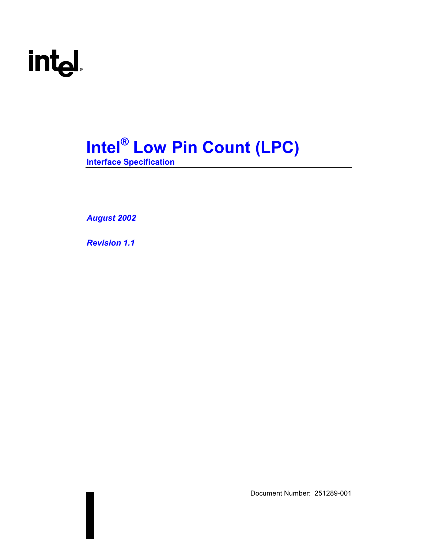# int<sub>el</sub>

## **Intel® Low Pin Count (LPC) Interface Specification**

*August 2002*

*Revision 1.1*

Document Number: 251289-001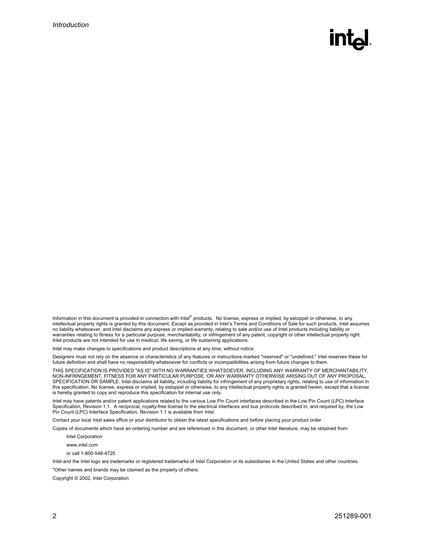## **R**

Information in this document is provided in connection with Intel® products. No license, express or implied, by estoppel or otherwise, to any intellectual property rights is granted by this document.Except as provided in Intel's Terms and Conditions of Sale for such products, Intel assumes no liability whatsoever, and Intel disclaims any express or implied warranty, relating to sale and/or use of Intel products including liability or warranties relating to fitness for a particular purpose, merchantability, or infringement of any patent, copyright or other intellectual property right. Intel products are not intended for use in medical, life saving, or life sustaining applications.

Intel may make changes to specifications and product descriptions at any time, without notice.

Designers must not rely on the absence or characteristics of any features or instructions marked "reserved" or "undefined." Intel reserves these for future definition and shall have no responsibility whatsoever for conflicts or incompatibilities arising from future changes to them.

THIS SPECIFICATION IS PROVIDED "AS IS" WITH NO WARRANTIES WHATSOEVER, INCLUDING ANY WARRANTY OF MERCHANTABILITY, NON-INFRINGEMENT, FITNESS FOR ANY PARTICULAR PURPOSE, OR ANY WARRANTY OTHERWISE ARISING OUT OF ANY PROPOSAL, SPECIFICATION OR SAMPLE. Intel disclaims all liability, including liability for infringement of any proprietary rights, relating to use of information in this specification.No license, express or implied, by estoppel or otherwise, to any intellectual property rights is granted herein, except that a license is hereby granted to copy and reproduce this specification for internal use only.

Intel may have patents and/or patent applications related to the various Low Pin Count interfaces described in the Low Pin Count (LPC) Interface Specification, Revision 1.1. A reciprocal, royalty-free license to the electrical interfaces and bus protocols described in, and required by, the Low Pin Count (LPC) Interface Specification, Revision 1.1 is available from Intel.

Contact your local Intel sales office or your distributor to obtain the latest specifications and before placing your product order.

Copies of documents which have an ordering number and are referenced in this document, or other Intel literature, may be obtained from:

Intel Corporation

www.intel.com

or call 1-800-548-4725

Intel and the Intel logo are trademarks or registered trademarks of Intel Corporation or its subsidiaries in the United States and other countries.

\*Other names and brands may be claimed as the property of others.

Copyright © 2002, Intel Corporation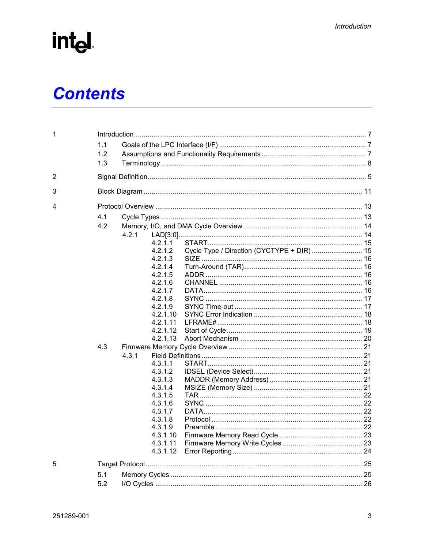# intel.

## **Contents**

| 1 |     |                      |                                            |  |  |  |
|---|-----|----------------------|--------------------------------------------|--|--|--|
|   | 1.1 |                      |                                            |  |  |  |
|   | 1.2 |                      |                                            |  |  |  |
|   | 1.3 |                      |                                            |  |  |  |
| 2 |     |                      |                                            |  |  |  |
| 3 |     |                      |                                            |  |  |  |
| 4 |     |                      |                                            |  |  |  |
|   | 4.1 |                      |                                            |  |  |  |
|   | 4.2 |                      |                                            |  |  |  |
|   |     | 4.2.1                |                                            |  |  |  |
|   |     | 4.2.1.1              |                                            |  |  |  |
|   |     | 4.2.1.2              | Cycle Type / Direction (CYCTYPE + DIR)  15 |  |  |  |
|   |     | 4.2.1.3<br>4.2.1.4   |                                            |  |  |  |
|   |     | 4.2.1.5              |                                            |  |  |  |
|   |     | 4.2.1.6              |                                            |  |  |  |
|   |     | 4.2.1.7              |                                            |  |  |  |
|   |     | 4.2.1.8              |                                            |  |  |  |
|   |     | 4.2.1.9              |                                            |  |  |  |
|   |     | 4.2.1.10<br>4.2.1.11 |                                            |  |  |  |
|   |     | 4.2.1.12             |                                            |  |  |  |
|   |     | 4.2.1.13             |                                            |  |  |  |
|   | 4.3 |                      |                                            |  |  |  |
|   |     | 4.3.1                |                                            |  |  |  |
|   |     | 4.3.1.1              |                                            |  |  |  |
|   |     | 4.3.1.2              |                                            |  |  |  |
|   |     | 4.3.1.3              |                                            |  |  |  |
|   |     | 4.3.1.4              |                                            |  |  |  |
|   |     | 4.3.1.5<br>4.3.1.6   |                                            |  |  |  |
|   |     | 4.3.1.7              |                                            |  |  |  |
|   |     | 4.3.1.8              |                                            |  |  |  |
|   |     | 4.3.1.9              |                                            |  |  |  |
|   |     | 4.3.1.10             |                                            |  |  |  |
|   |     | 4.3.1.11             |                                            |  |  |  |
|   |     | 4.3.1.12             |                                            |  |  |  |
| 5 |     |                      |                                            |  |  |  |
|   | 5.1 |                      |                                            |  |  |  |
|   | 5.2 |                      |                                            |  |  |  |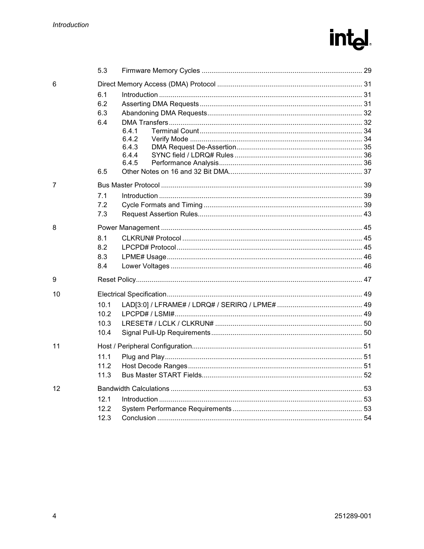## intd.

|                   | 5.3  |                |  |
|-------------------|------|----------------|--|
| 6                 |      |                |  |
|                   | 6.1  |                |  |
|                   | 6.2  |                |  |
|                   | 6.3  |                |  |
|                   | 6.4  |                |  |
|                   |      | 6.4.1          |  |
|                   |      | 6.4.2          |  |
|                   |      | 6.4.3          |  |
|                   |      | 6.4.4<br>6.4.5 |  |
|                   | 6.5  |                |  |
| 7                 |      |                |  |
|                   |      |                |  |
|                   | 7.1  |                |  |
|                   | 7.2  |                |  |
|                   | 7.3  |                |  |
| 8                 |      |                |  |
|                   | 8.1  |                |  |
|                   | 8.2  |                |  |
|                   | 8.3  |                |  |
|                   | 8.4  |                |  |
| 9                 |      |                |  |
| 10                |      |                |  |
|                   | 10.1 |                |  |
|                   | 10.2 |                |  |
|                   | 10.3 |                |  |
|                   | 10.4 |                |  |
| 11                |      |                |  |
|                   | 11.1 |                |  |
|                   | 11.2 |                |  |
|                   | 11.3 |                |  |
| $12 \overline{ }$ |      |                |  |
|                   | 12.1 |                |  |
|                   | 12.2 |                |  |
|                   | 12.3 |                |  |
|                   |      |                |  |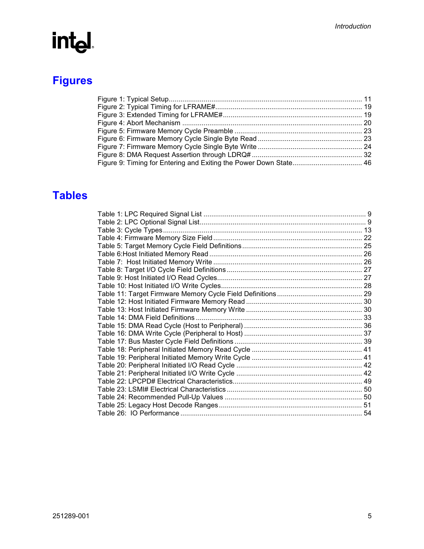# intel.

## **Figures**

## **Tables**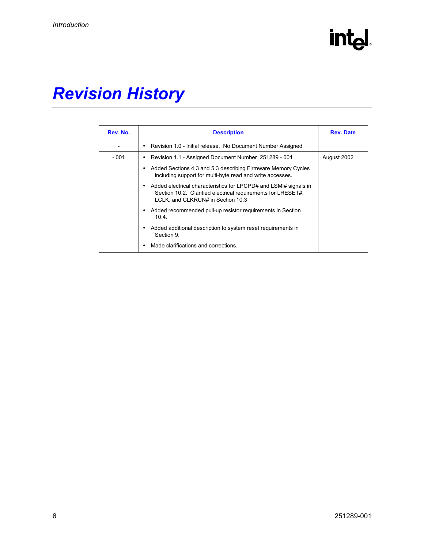

## *Revision History*

| Rev. No. | <b>Description</b>                                                                                                                                                    | <b>Rev. Date</b> |
|----------|-----------------------------------------------------------------------------------------------------------------------------------------------------------------------|------------------|
|          | Revision 1.0 - Initial release. No Document Number Assigned                                                                                                           |                  |
| $-001$   | Revision 1.1 - Assigned Document Number 251289 - 001<br>٠                                                                                                             | August 2002      |
|          | Added Sections 4.3 and 5.3 describing Firmware Memory Cycles<br>including support for multi-byte read and write accesses.                                             |                  |
|          | Added electrical characteristics for LPCPD# and LSMI# signals in<br>Section 10.2. Clarified electrical requirements for LRESET#,<br>LCLK, and CLKRUN# in Section 10.3 |                  |
|          | Added recommended pull-up resistor requirements in Section<br>10.4.                                                                                                   |                  |
|          | Added additional description to system reset requirements in<br>Section 9.                                                                                            |                  |
|          | Made clarifications and corrections.                                                                                                                                  |                  |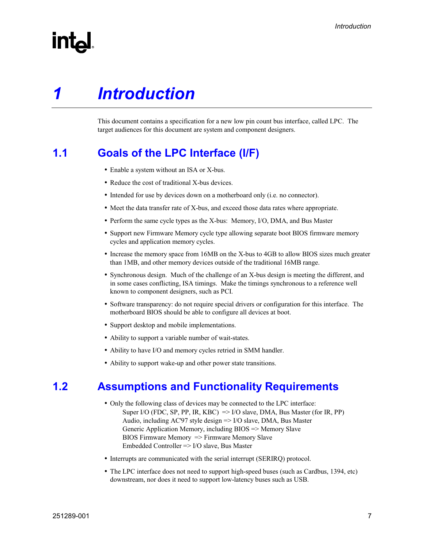## *1 Introduction*

This document contains a specification for a new low pin count bus interface, called LPC. The target audiences for this document are system and component designers.

### **1.1 Goals of the LPC Interface (I/F)**

- Enable a system without an ISA or X-bus.
- Reduce the cost of traditional X-bus devices.
- Intended for use by devices down on a motherboard only (i.e. no connector).
- Meet the data transfer rate of X-bus, and exceed those data rates where appropriate.
- Perform the same cycle types as the X-bus: Memory, I/O, DMA, and Bus Master
- Support new Firmware Memory cycle type allowing separate boot BIOS firmware memory cycles and application memory cycles.
- Increase the memory space from 16MB on the X-bus to 4GB to allow BIOS sizes much greater than 1MB, and other memory devices outside of the traditional 16MB range.
- Synchronous design. Much of the challenge of an X-bus design is meeting the different, and in some cases conflicting, ISA timings. Make the timings synchronous to a reference well known to component designers, such as PCI.
- Software transparency: do not require special drivers or configuration for this interface. The motherboard BIOS should be able to configure all devices at boot.
- Support desktop and mobile implementations.
- Ability to support a variable number of wait-states.
- Ability to have I/O and memory cycles retried in SMM handler.
- Ability to support wake-up and other power state transitions.

### **1.2 Assumptions and Functionality Requirements**

- Only the following class of devices may be connected to the LPC interface:
	- $\sim$  Super I/O (FDC, SP, PP, IR, KBC) => I/O slave, DMA, Bus Master (for IR, PP)
	- Audio, including AC'97 style design  $\Rightarrow$  I/O slave, DMA, Bus Master
	- Generic Application Memory, including BIOS => Memory Slave
	- BIOS Firmware Memory => Firmware Memory Slave
	- Embedded Controller => I/O slave, Bus Master
- Interrupts are communicated with the serial interrupt (SERIRQ) protocol.
- The LPC interface does not need to support high-speed buses (such as Cardbus, 1394, etc) downstream, nor does it need to support low-latency buses such as USB.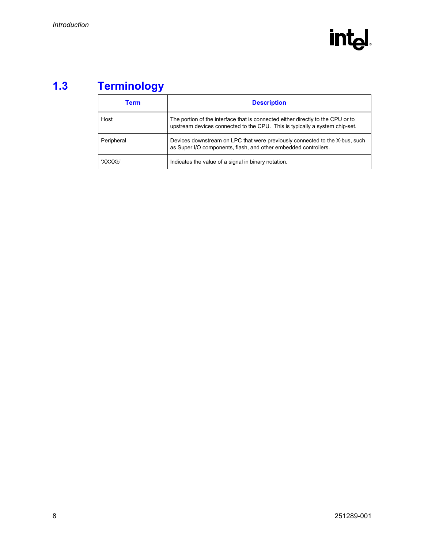

## **1.3 Terminology**

| Term       | <b>Description</b>                                                                                                                                             |
|------------|----------------------------------------------------------------------------------------------------------------------------------------------------------------|
| Host       | The portion of the interface that is connected either directly to the CPU or to<br>upstream devices connected to the CPU. This is typically a system chip-set. |
| Peripheral | Devices downstream on LPC that were previously connected to the X-bus, such<br>as Super I/O components, flash, and other embedded controllers.                 |
| 'XXXXb'    | Indicates the value of a signal in binary notation.                                                                                                            |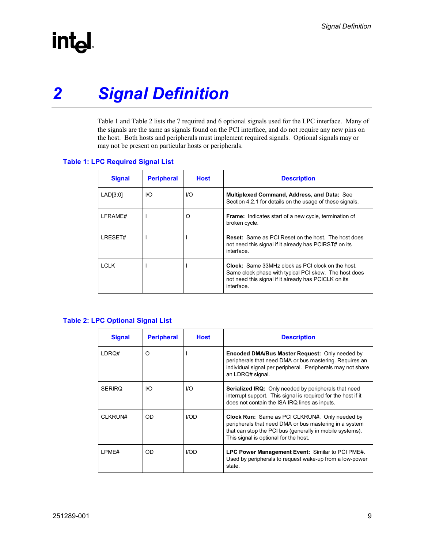# intel

## *2 Signal Definition*

Table 1 and Table 2 lists the 7 required and 6 optional signals used for the LPC interface. Many of the signals are the same as signals found on the PCI interface, and do not require any new pins on the host. Both hosts and peripherals must implement required signals. Optional signals may or may not be present on particular hosts or peripherals.

#### **Table 1: LPC Required Signal List**

| <b>Signal</b> | <b>Peripheral</b> | <b>Host</b> | <b>Description</b>                                                                                                                                                                      |
|---------------|-------------------|-------------|-----------------------------------------------------------------------------------------------------------------------------------------------------------------------------------------|
| LAD[3:0]      | I/O               | I/O         | <b>Multiplexed Command, Address, and Data: See</b><br>Section 4.2.1 for details on the usage of these signals.                                                                          |
| LFRAME#       |                   | O           | <b>Frame:</b> Indicates start of a new cycle, termination of<br>broken cycle.                                                                                                           |
| LRESET#       |                   |             | <b>Reset:</b> Same as PCI Reset on the host. The host does<br>not need this signal if it already has PCIRST# on its<br>interface.                                                       |
| LCLK.         |                   |             | <b>Clock:</b> Same 33MHz clock as PCI clock on the host.<br>Same clock phase with typical PCI skew. The host does<br>not need this signal if it already has PCICLK on its<br>interface. |

#### **Table 2: LPC Optional Signal List**

| <b>Signal</b> | <b>Peripheral</b> | <b>Host</b> | <b>Description</b>                                                                                                                                                                                                   |
|---------------|-------------------|-------------|----------------------------------------------------------------------------------------------------------------------------------------------------------------------------------------------------------------------|
| LDRQ#         | Ω                 |             | <b>Encoded DMA/Bus Master Request: Only needed by</b><br>peripherals that need DMA or bus mastering. Requires an<br>individual signal per peripheral. Peripherals may not share<br>an LDRQ# signal.                  |
| <b>SERIRO</b> | I/O               | $UO$        | <b>Serialized IRQ:</b> Only needed by peripherals that need<br>interrupt support. This signal is required for the host if it<br>does not contain the ISA IRQ lines as inputs.                                        |
| CLKRUN#       | OD.               | <b>I/OD</b> | <b>Clock Run: Same as PCI CLKRUN#. Only needed by</b><br>peripherals that need DMA or bus mastering in a system<br>that can stop the PCI bus (generally in mobile systems).<br>This signal is optional for the host. |
| I PMF#        | OD.               | <b>I/OD</b> | <b>LPC Power Management Event: Similar to PCI PME#.</b><br>Used by peripherals to request wake-up from a low-power<br>state.                                                                                         |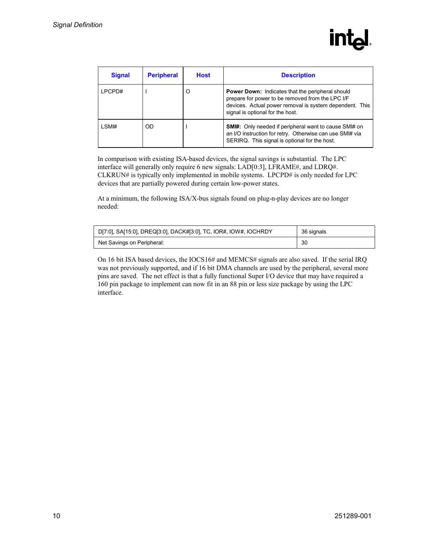| <b>Signal</b> | <b>Peripheral</b> | <b>Host</b> | <b>Description</b>                                                                                                                                                                                         |
|---------------|-------------------|-------------|------------------------------------------------------------------------------------------------------------------------------------------------------------------------------------------------------------|
| LPCPD#        |                   | O           | <b>Power Down:</b> Indicates that the peripheral should<br>prepare for power to be removed from the LPC I/F<br>devices. Actual power removal is system dependent. This<br>signal is optional for the host. |
| LSMI#         | OD.               |             | <b>SMI#:</b> Only needed if peripheral want to cause SMI# on<br>an I/O instruction for retry. Otherwise can use SMI# via<br>SERIRQ. This signal is optional for the host.                                  |

In comparison with existing ISA-based devices, the signal savings is substantial. The LPC interface will generally only require 6 new signals: LAD[0:3], LFRAME#, and LDRQ#. CLKRUN# is typically only implemented in mobile systems. LPCPD# is only needed for LPC devices that are partially powered during certain low-power states.

At a minimum, the following ISA/X-bus signals found on plug-n-play devices are no longer needed:

| D[7:0], SA[15:0], DREQ[3:0], DACK#[3:0], TC, IOR#, IOW#, IOCHRDY | 36 signals |
|------------------------------------------------------------------|------------|
| Net Savings on Peripheral:                                       | 30         |

On 16 bit ISA based devices, the IOCS16# and MEMCS# signals are also saved. If the serial IRQ was not previously supported, and if 16 bit DMA channels are used by the peripheral, several more pins are saved. The net effect is that a fully functional Super I/O device that may have required a 160 pin package to implement can now fit in an 88 pin or less size package by using the LPC interface.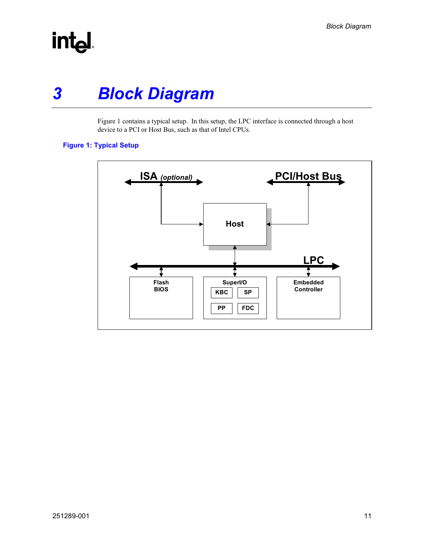# int<sub>e</sub>l

## *3 Block Diagram*

Figure 1 contains a typical setup. In this setup, the LPC interface is connected through a host device to a PCI or Host Bus, such as that of Intel CPUs.

#### **Figure 1: Typical Setup**

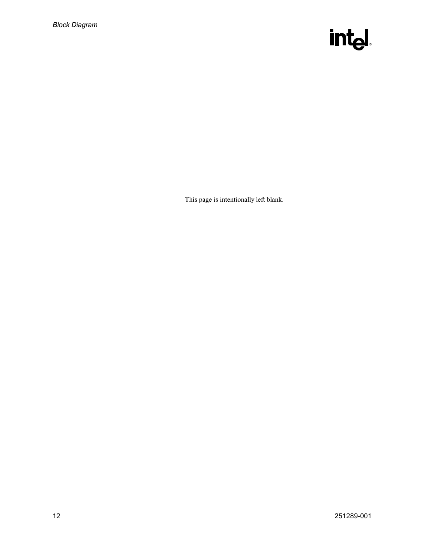## intel.

This page is intentionally left blank.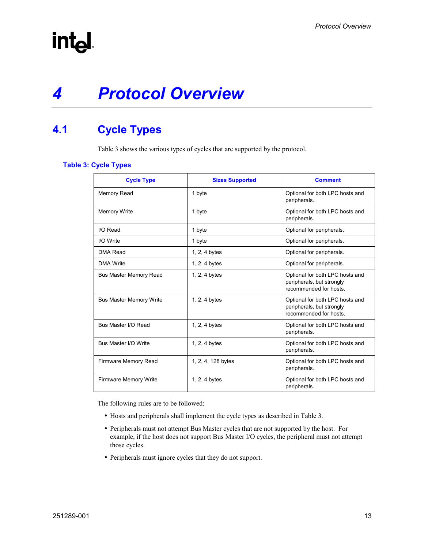# **R**

## *4 Protocol Overview*

## **4.1** Cycle Types

Table 3 shows the various types of cycles that are supported by the protocol.

#### **Table 3: Cycle Types**

| <b>Cycle Type</b>              | <b>Sizes Supported</b> | <b>Comment</b>                                                                         |
|--------------------------------|------------------------|----------------------------------------------------------------------------------------|
| Memory Read                    | 1 byte                 | Optional for both LPC hosts and<br>peripherals.                                        |
| Memory Write                   | 1 byte                 | Optional for both LPC hosts and<br>peripherals.                                        |
| I/O Read                       | 1 byte                 | Optional for peripherals.                                                              |
| I/O Write                      | 1 byte                 | Optional for peripherals.                                                              |
| <b>DMA Read</b>                | 1, 2, 4 bytes          | Optional for peripherals.                                                              |
| <b>DMA Write</b>               | 1, 2, 4 bytes          | Optional for peripherals.                                                              |
| <b>Bus Master Memory Read</b>  | 1, 2, 4 bytes          | Optional for both LPC hosts and<br>peripherals, but strongly<br>recommended for hosts. |
| <b>Bus Master Memory Write</b> | 1, 2, 4 bytes          | Optional for both LPC hosts and<br>peripherals, but strongly<br>recommended for hosts. |
| Bus Master I/O Read            | 1, 2, 4 bytes          | Optional for both LPC hosts and<br>peripherals.                                        |
| Bus Master I/O Write           | 1, 2, 4 bytes          | Optional for both LPC hosts and<br>peripherals.                                        |
| Firmware Memory Read           | 1, 2, 4, 128 bytes     | Optional for both LPC hosts and<br>peripherals.                                        |
| <b>Firmware Memory Write</b>   | 1, 2, 4 bytes          | Optional for both LPC hosts and<br>peripherals.                                        |

The following rules are to be followed:

- Hosts and peripherals shall implement the cycle types as described in Table 3.
- Peripherals must not attempt Bus Master cycles that are not supported by the host. For example, if the host does not support Bus Master I/O cycles, the peripheral must not attempt those cycles.
- Peripherals must ignore cycles that they do not support.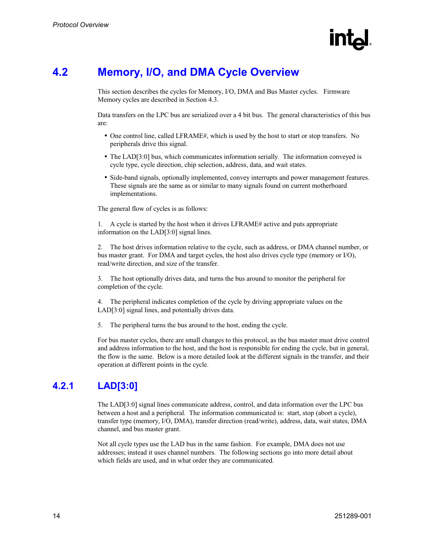

### **4.2 Memory, I/O, and DMA Cycle Overview**

This section describes the cycles for Memory, I/O, DMA and Bus Master cycles. Firmware Memory cycles are described in Section 4.3.

Data transfers on the LPC bus are serialized over a 4 bit bus. The general characteristics of this bus are:

- One control line, called LFRAME#, which is used by the host to start or stop transfers. No peripherals drive this signal.
- The LAD[3:0] bus, which communicates information serially. The information conveyed is cycle type, cycle direction, chip selection, address, data, and wait states.
- Side-band signals, optionally implemented, convey interrupts and power management features. These signals are the same as or similar to many signals found on current motherboard implementations.

The general flow of cycles is as follows:

1. A cycle is started by the host when it drives LFRAME# active and puts appropriate information on the LAD[3:0] signal lines.

2. The host drives information relative to the cycle, such as address, or DMA channel number, or bus master grant. For DMA and target cycles, the host also drives cycle type (memory or I/O), read/write direction, and size of the transfer.

3. The host optionally drives data, and turns the bus around to monitor the peripheral for completion of the cycle.

4. The peripheral indicates completion of the cycle by driving appropriate values on the LAD[3:0] signal lines, and potentially drives data.

5. The peripheral turns the bus around to the host, ending the cycle.

For bus master cycles, there are small changes to this protocol, as the bus master must drive control and address information to the host, and the host is responsible for ending the cycle, but in general, the flow is the same. Below is a more detailed look at the different signals in the transfer, and their operation at different points in the cycle.

### **4.2.1LAD[3:0]**

The LAD[3:0] signal lines communicate address, control, and data information over the LPC bus between a host and a peripheral. The information communicated is: start, stop (abort a cycle), transfer type (memory, I/O, DMA), transfer direction (read/write), address, data, wait states, DMA channel, and bus master grant.

Not all cycle types use the LAD bus in the same fashion. For example, DMA does not use addresses; instead it uses channel numbers. The following sections go into more detail about which fields are used, and in what order they are communicated.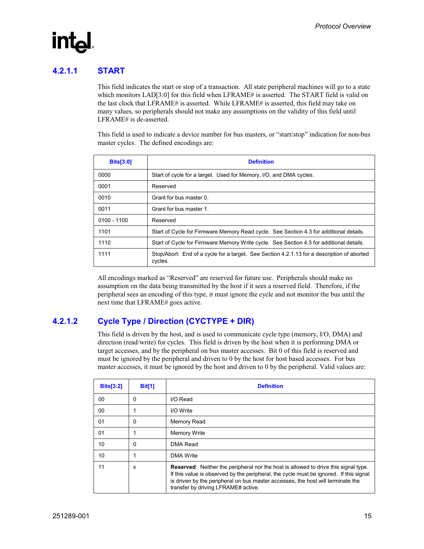# **int**

#### **4.2.1.1 START**

This field indicates the start or stop of a transaction. All state peripheral machines will go to a state which monitors LAD[3:0] for this field when LFRAME# is asserted. The START field is valid on the last clock that LFRAME# is asserted. While LFRAME# is asserted, this field may take on many values, so peripherals should not make any assumptions on the validity of this field until LFRAME# is de-asserted.

This field is used to indicate a device number for bus masters, or "start/stop" indication for non-bus master cycles. The defined encodings are:

| Bits[3:0]     | <b>Definition</b>                                                                                     |
|---------------|-------------------------------------------------------------------------------------------------------|
| 0000          | Start of cycle for a target. Used for Memory, I/O, and DMA cycles.                                    |
| 0001          | Reserved                                                                                              |
| 0010          | Grant for bus master 0.                                                                               |
| 0011          | Grant for bus master 1.                                                                               |
| $0100 - 1100$ | Reserved                                                                                              |
| 1101          | Start of Cycle for Firmware Memory Read cycle. See Section 4.3 for additional details.                |
| 1110          | Start of Cycle for Firmware Memory Write cycle. See Section 4.3 for additional details.               |
| 1111          | Stop/Abort: End of a cycle for a target. See Section 4.2.1.13 for a description of aborted<br>cycles. |

All encodings marked as "Reserved" are reserved for future use. Peripherals should make no assumption on the data being transmitted by the host if it sees a reserved field. Therefore, if the peripheral sees an encoding of this type, it must ignore the cycle and not monitor the bus until the next time that LFRAME# goes active.

#### **4.2.1.2 Cycle Type / Direction (CYCTYPE + DIR)**

This field is driven by the host, and is used to communicate cycle type (memory, I/O, DMA) and direction (read/write) for cycles. This field is driven by the host when it is performing DMA or target accesses, and by the peripheral on bus master accesses. Bit 0 of this field is reserved and must be ignored by the peripheral and driven to 0 by the host for host based accesses. For bus master accesses, it must be ignored by the host and driven to 0 by the peripheral. Valid values are:

| Bits[3:2] | Bit[1] | <b>Definition</b>                                                                                                                                                                                                                                                                                              |
|-----------|--------|----------------------------------------------------------------------------------------------------------------------------------------------------------------------------------------------------------------------------------------------------------------------------------------------------------------|
| 00        | 0      | I/O Read                                                                                                                                                                                                                                                                                                       |
| 00        |        | I/O Write                                                                                                                                                                                                                                                                                                      |
| 01        | 0      | Memory Read                                                                                                                                                                                                                                                                                                    |
| 01        |        | <b>Memory Write</b>                                                                                                                                                                                                                                                                                            |
| 10        | 0      | <b>DMA Read</b>                                                                                                                                                                                                                                                                                                |
| 10        |        | <b>DMA Write</b>                                                                                                                                                                                                                                                                                               |
| 11        | x      | <b>Reserved:</b> Neither the peripheral nor the host is allowed to drive this signal type.<br>If this value is observed by the peripheral, the cycle must be ignored. If this signal<br>is driven by the peripheral on bus master accesses, the host will terminate the<br>transfer by driving LFRAME# active. |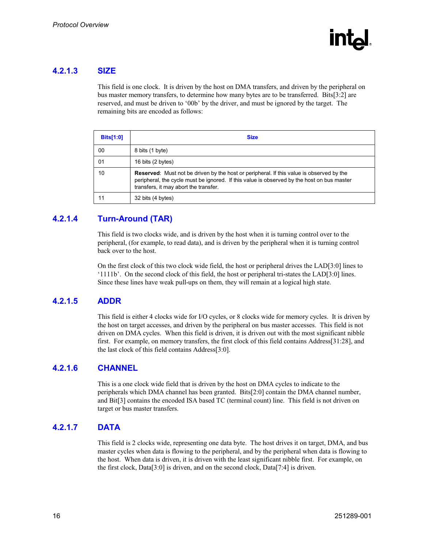#### **4.2.1.3 SIZE**

This field is one clock. It is driven by the host on DMA transfers, and driven by the peripheral on bus master memory transfers, to determine how many bytes are to be transferred. Bits[3:2] are reserved, and must be driven to '00b' by the driver, and must be ignored by the target. The remaining bits are encoded as follows:

| Bits[1:0] | <b>Size</b>                                                                                                                                                                                                                            |
|-----------|----------------------------------------------------------------------------------------------------------------------------------------------------------------------------------------------------------------------------------------|
| 00        | 8 bits (1 byte)                                                                                                                                                                                                                        |
| 01        | 16 bits (2 bytes)                                                                                                                                                                                                                      |
| 10        | <b>Reserved:</b> Must not be driven by the host or peripheral. If this value is observed by the<br>peripheral, the cycle must be ignored. If this value is observed by the host on bus master<br>transfers, it may abort the transfer. |
| 11        | 32 bits (4 bytes)                                                                                                                                                                                                                      |

### **4.2.1.4 Turn-Around (TAR)**

This field is two clocks wide, and is driven by the host when it is turning control over to the peripheral, (for example, to read data), and is driven by the peripheral when it is turning control back over to the host.

On the first clock of this two clock wide field, the host or peripheral drives the LAD[3:0] lines to '1111b'. On the second clock of this field, the host or peripheral tri-states the LAD[3:0] lines. Since these lines have weak pull-ups on them, they will remain at a logical high state.

#### **4.2.1.5 ADDR**

This field is either 4 clocks wide for I/O cycles, or 8 clocks wide for memory cycles. It is driven by the host on target accesses, and driven by the peripheral on bus master accesses. This field is not driven on DMA cycles. When this field is driven, it is driven out with the most significant nibble first. For example, on memory transfers, the first clock of this field contains Address[31:28], and the last clock of this field contains Address[3:0].

#### **4.2.1.6 CHANNEL**

This is a one clock wide field that is driven by the host on DMA cycles to indicate to the peripherals which DMA channel has been granted. Bits[2:0] contain the DMA channel number, and Bit[3] contains the encoded ISA based TC (terminal count) line. This field is not driven on target or bus master transfers.

#### **4.2.1.7 DATA**

This field is 2 clocks wide, representing one data byte. The host drives it on target, DMA, and bus master cycles when data is flowing to the peripheral, and by the peripheral when data is flowing to the host. When data is driven, it is driven with the least significant nibble first. For example, on the first clock, Data[3:0] is driven, and on the second clock, Data[7:4] is driven.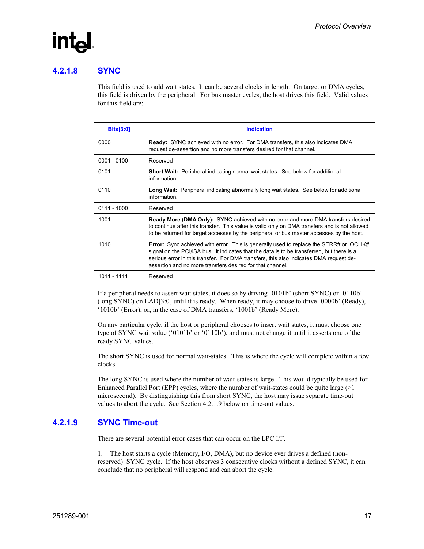#### **4.2.1.8 SYNC**

This field is used to add wait states. It can be several clocks in length. On target or DMA cycles, this field is driven by the peripheral. For bus master cycles, the host drives this field. Valid values for this field are:

| Bits[3:0]     | <b>Indication</b>                                                                                                                                                                                                                                                                                                                                  |
|---------------|----------------------------------------------------------------------------------------------------------------------------------------------------------------------------------------------------------------------------------------------------------------------------------------------------------------------------------------------------|
| 0000          | <b>Ready:</b> SYNC achieved with no error. For DMA transfers, this also indicates DMA<br>request de-assertion and no more transfers desired for that channel.                                                                                                                                                                                      |
| $0001 - 0100$ | Reserved                                                                                                                                                                                                                                                                                                                                           |
| 0101          | <b>Short Wait:</b> Peripheral indicating normal wait states. See below for additional<br>information.                                                                                                                                                                                                                                              |
| 0110          | Long Wait: Peripheral indicating abnormally long wait states. See below for additional<br>information.                                                                                                                                                                                                                                             |
| $0111 - 1000$ | Reserved                                                                                                                                                                                                                                                                                                                                           |
| 1001          | <b>Ready More (DMA Only):</b> SYNC achieved with no error and more DMA transfers desired<br>to continue after this transfer. This value is valid only on DMA transfers and is not allowed<br>to be returned for target accesses by the peripheral or bus master accesses by the host.                                                              |
| 1010          | <b>Error:</b> Sync achieved with error. This is generally used to replace the SERR# or IOCHK#<br>signal on the PCI/ISA bus. It indicates that the data is to be transferred, but there is a<br>serious error in this transfer. For DMA transfers, this also indicates DMA request de-<br>assertion and no more transfers desired for that channel. |
| 1011 - 1111   | Reserved                                                                                                                                                                                                                                                                                                                                           |

If a peripheral needs to assert wait states, it does so by driving '0101b' (short SYNC) or '0110b' (long SYNC) on LAD[3:0] until it is ready. When ready, it may choose to drive '0000b' (Ready), '1010b' (Error), or, in the case of DMA transfers, '1001b' (Ready More).

On any particular cycle, if the host or peripheral chooses to insert wait states, it must choose one type of SYNC wait value ('0101b' or '0110b'), and must not change it until it asserts one of the ready SYNC values.

The short SYNC is used for normal wait-states. This is where the cycle will complete within a few clocks.

The long SYNC is used where the number of wait-states is large. This would typically be used for Enhanced Parallel Port (EPP) cycles, where the number of wait-states could be quite large  $(>1)$ microsecond). By distinguishing this from short SYNC, the host may issue separate time-out values to abort the cycle. See Section 4.2.1.9 below on time-out values.

#### **4.2.1.9 SYNC Time-out**

There are several potential error cases that can occur on the LPC I/F.

1. The host starts a cycle (Memory, I/O, DMA), but no device ever drives a defined (nonreserved) SYNC cycle. If the host observes 3 consecutive clocks without a defined SYNC, it can conclude that no peripheral will respond and can abort the cycle.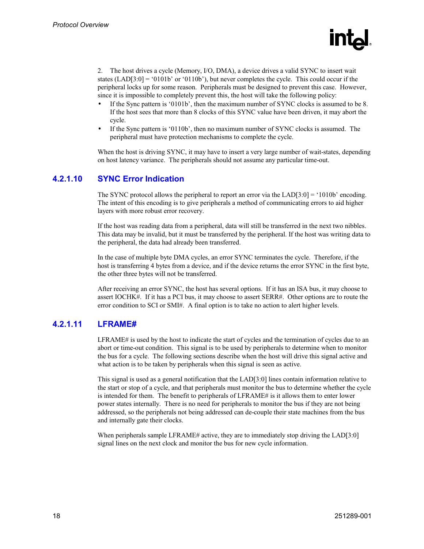

2. The host drives a cycle (Memory, I/O, DMA), a device drives a valid SYNC to insert wait states  $(LAD[3:0] = '0101b'$  or '0110b'), but never completes the cycle. This could occur if the peripheral locks up for some reason. Peripherals must be designed to prevent this case. However, since it is impossible to completely prevent this, the host will take the following policy:

- If the Sync pattern is '0101b', then the maximum number of SYNC clocks is assumed to be 8. If the host sees that more than 8 clocks of this SYNC value have been driven, it may abort the cycle.
- If the Sync pattern is '0110b', then no maximum number of SYNC clocks is assumed. The peripheral must have protection mechanisms to complete the cycle.

When the host is driving SYNC, it may have to insert a very large number of wait-states, depending on host latency variance. The peripherals should not assume any particular time-out.

#### **4.2.1.10 SYNC Error Indication**

The SYNC protocol allows the peripheral to report an error via the  $LAD[3:0] = 1010b'$  encoding. The intent of this encoding is to give peripherals a method of communicating errors to aid higher layers with more robust error recovery.

If the host was reading data from a peripheral, data will still be transferred in the next two nibbles. This data may be invalid, but it must be transferred by the peripheral. If the host was writing data to the peripheral, the data had already been transferred.

In the case of multiple byte DMA cycles, an error SYNC terminates the cycle. Therefore, if the host is transferring 4 bytes from a device, and if the device returns the error SYNC in the first byte, the other three bytes will not be transferred.

After receiving an error SYNC, the host has several options. If it has an ISA bus, it may choose to assert IOCHK#. If it has a PCI bus, it may choose to assert SERR#. Other options are to route the error condition to SCI or SMI#. A final option is to take no action to alert higher levels.

#### **4.2.1.11 LFRAME#**

LFRAME# is used by the host to indicate the start of cycles and the termination of cycles due to an abort or time-out condition. This signal is to be used by peripherals to determine when to monitor the bus for a cycle. The following sections describe when the host will drive this signal active and what action is to be taken by peripherals when this signal is seen as active.

This signal is used as a general notification that the LAD[3:0] lines contain information relative to the start or stop of a cycle, and that peripherals must monitor the bus to determine whether the cycle is intended for them. The benefit to peripherals of LFRAME# is it allows them to enter lower power states internally. There is no need for peripherals to monitor the bus if they are not being addressed, so the peripherals not being addressed can de-couple their state machines from the bus and internally gate their clocks.

When peripherals sample LFRAME# active, they are to immediately stop driving the LAD[3:0] signal lines on the next clock and monitor the bus for new cycle information.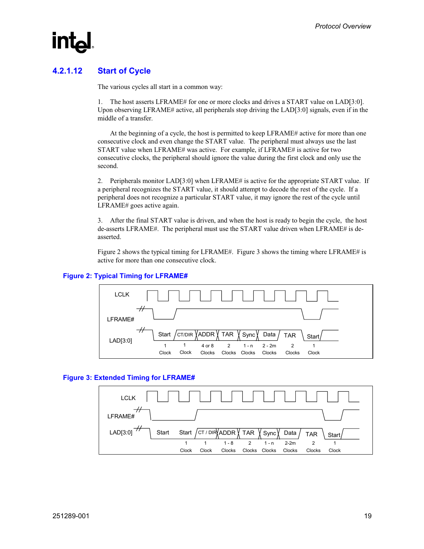#### **4.2.1.12 Start of Cycle**

The various cycles all start in a common way:

1. The host asserts LFRAME# for one or more clocks and drives a START value on LAD[3:0]. Upon observing LFRAME# active, all peripherals stop driving the LAD[3:0] signals, even if in the middle of a transfer.

At the beginning of a cycle, the host is permitted to keep LFRAME# active for more than one consecutive clock and even change the START value. The peripheral must always use the last START value when LFRAME# was active. For example, if LFRAME# is active for two consecutive clocks, the peripheral should ignore the value during the first clock and only use the second.

2. Peripherals monitor LAD[3:0] when LFRAME# is active for the appropriate START value. If a peripheral recognizes the START value, it should attempt to decode the rest of the cycle. If a peripheral does not recognize a particular START value, it may ignore the rest of the cycle until LFRAME# goes active again.

3. After the final START value is driven, and when the host is ready to begin the cycle, the host de-asserts LFRAME#. The peripheral must use the START value driven when LFRAME# is deasserted.

Figure 2 shows the typical timing for LFRAME#. Figure 3 shows the timing where LFRAME# is active for more than one consecutive clock.

#### **Figure 2: Typical Timing for LFRAME#**



#### **Figure 3: Extended Timing for LFRAME#**

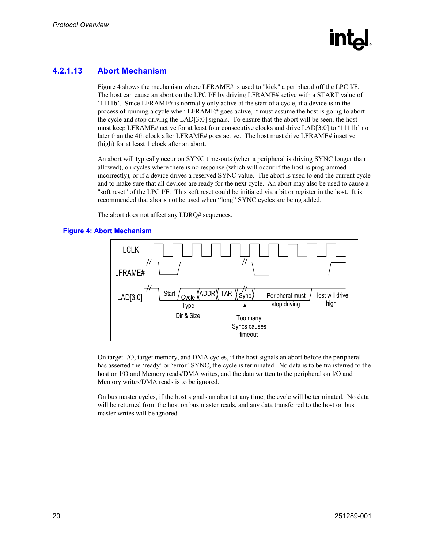

#### **4.2.1.13 Abort Mechanism**

Figure 4 shows the mechanism where LFRAME# is used to "kick" a peripheral off the LPC I/F. The host can cause an abort on the LPC I/F by driving LFRAME# active with a START value of '1111b'. Since LFRAME# is normally only active at the start of a cycle, if a device is in the process of running a cycle when LFRAME# goes active, it must assume the host is going to abort the cycle and stop driving the LAD[3:0] signals. To ensure that the abort will be seen, the host must keep LFRAME# active for at least four consecutive clocks and drive LAD[3:0] to '1111b' no later than the 4th clock after LFRAME# goes active. The host must drive LFRAME# inactive (high) for at least 1 clock after an abort.

An abort will typically occur on SYNC time-outs (when a peripheral is driving SYNC longer than allowed), on cycles where there is no response (which will occur if the host is programmed incorrectly), or if a device drives a reserved SYNC value. The abort is used to end the current cycle and to make sure that all devices are ready for the next cycle. An abort may also be used to cause a "soft reset" of the LPC I/F. This soft reset could be initiated via a bit or register in the host. It is recommended that aborts not be used when "long" SYNC cycles are being added.

The abort does not affect any LDRQ# sequences.

**Figure 4: Abort Mechanism**



On target I/O, target memory, and DMA cycles, if the host signals an abort before the peripheral has asserted the 'ready' or 'error' SYNC, the cycle is terminated. No data is to be transferred to the host on I/O and Memory reads/DMA writes, and the data written to the peripheral on I/O and Memory writes/DMA reads is to be ignored.

On bus master cycles, if the host signals an abort at any time, the cycle will be terminated. No data will be returned from the host on bus master reads, and any data transferred to the host on bus master writes will be ignored.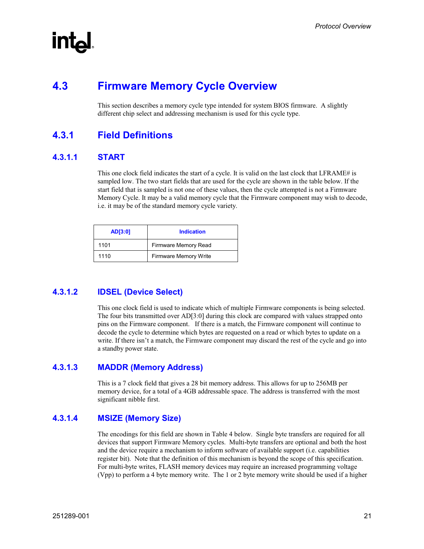## **int**

## **4.3 Firmware Memory Cycle Overview**

This section describes a memory cycle type intended for system BIOS firmware. A slightly different chip select and addressing mechanism is used for this cycle type.

### **4.3.1 Field Definitions**

#### **4.3.1.1 START**

This one clock field indicates the start of a cycle. It is valid on the last clock that LFRAME# is sampled low. The two start fields that are used for the cycle are shown in the table below. If the start field that is sampled is not one of these values, then the cycle attempted is not a Firmware Memory Cycle. It may be a valid memory cycle that the Firmware component may wish to decode, i.e. it may be of the standard memory cycle variety.

| AD[3:0] | <b>Indication</b>            |
|---------|------------------------------|
| 1101    | Firmware Memory Read         |
| 1110    | <b>Firmware Memory Write</b> |

#### **4.3.1.2 IDSEL (Device Select)**

This one clock field is used to indicate which of multiple Firmware components is being selected. The four bits transmitted over AD[3:0] during this clock are compared with values strapped onto pins on the Firmware component. If there is a match, the Firmware component will continue to decode the cycle to determine which bytes are requested on a read or which bytes to update on a write. If there isn't a match, the Firmware component may discard the rest of the cycle and go into a standby power state.

#### **4.3.1.3 MADDR (Memory Address)**

This is a 7 clock field that gives a 28 bit memory address. This allows for up to 256MB per memory device, for a total of a 4GB addressable space. The address is transferred with the most significant nibble first.

#### **4.3.1.4 MSIZE (Memory Size)**

The encodings for this field are shown in Table 4 below. Single byte transfers are required for all devices that support Firmware Memory cycles. Multi-byte transfers are optional and both the host and the device require a mechanism to inform software of available support (i.e. capabilities register bit). Note that the definition of this mechanism is beyond the scope of this specification. For multi-byte writes, FLASH memory devices may require an increased programming voltage (Vpp) to perform a 4 byte memory write. The 1 or 2 byte memory write should be used if a higher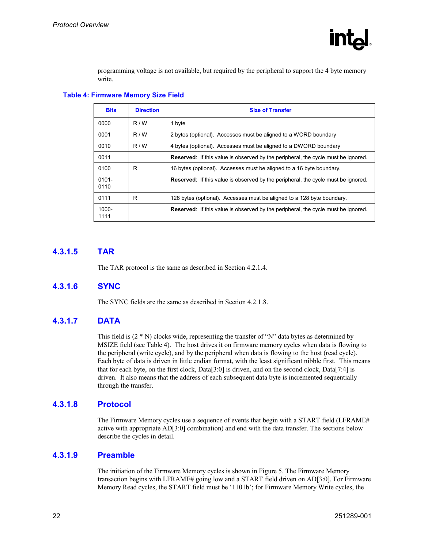

programming voltage is not available, but required by the peripheral to support the 4 byte memory write.

#### **Table 4: Firmware Memory Size Field**

| <b>Bits</b>      | <b>Direction</b> | <b>Size of Transfer</b>                                                                  |
|------------------|------------------|------------------------------------------------------------------------------------------|
| 0000             | R/W              | 1 byte                                                                                   |
| 0001             | R/W              | 2 bytes (optional). Accesses must be aligned to a WORD boundary                          |
| 0010             | R/W              | 4 bytes (optional). Accesses must be aligned to a DWORD boundary                         |
| 0011             |                  | <b>Reserved:</b> If this value is observed by the peripheral, the cycle must be ignored. |
| 0100             | R                | 16 bytes (optional). Accesses must be aligned to a 16 byte boundary.                     |
| $0101 -$<br>0110 |                  | <b>Reserved:</b> If this value is observed by the peripheral, the cycle must be ignored. |
| 0111             | R                | 128 bytes (optional). Accesses must be aligned to a 128 byte boundary.                   |
| $1000 -$<br>1111 |                  | <b>Reserved:</b> If this value is observed by the peripheral, the cycle must be ignored. |

#### **4.3.1.5 TAR**

The TAR protocol is the same as described in Section 4.2.1.4.

#### **4.3.1.6 SYNC**

The SYNC fields are the same as described in Section 4.2.1.8.

#### **4.3.1.7 DATA**

This field is  $(2 * N)$  clocks wide, representing the transfer of "N" data bytes as determined by MSIZE field (see Table 4). The host drives it on firmware memory cycles when data is flowing to the peripheral (write cycle), and by the peripheral when data is flowing to the host (read cycle). Each byte of data is driven in little endian format, with the least significant nibble first. This means that for each byte, on the first clock, Data[3:0] is driven, and on the second clock, Data[7:4] is driven. It also means that the address of each subsequent data byte is incremented sequentially through the transfer.

#### **4.3.1.8 Protocol**

The Firmware Memory cycles use a sequence of events that begin with a START field (LFRAME# active with appropriate AD[3:0] combination) and end with the data transfer. The sections below describe the cycles in detail.

#### **4.3.1.9 Preamble**

The initiation of the Firmware Memory cycles is shown in Figure 5. The Firmware Memory transaction begins with LFRAME# going low and a START field driven on AD[3:0]. For Firmware Memory Read cycles, the START field must be '1101b'; for Firmware Memory Write cycles, the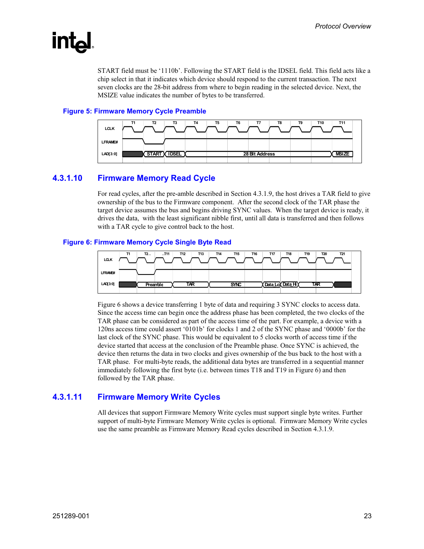## int

START field must be '1110b'. Following the START field is the IDSEL field. This field acts like a chip select in that it indicates which device should respond to the current transaction. The next seven clocks are the 28-bit address from where to begin reading in the selected device. Next, the MSIZE value indicates the number of bytes to be transferred.

#### **Figure 5: Firmware Memory Cycle Preamble**



#### **4.3.1.10 Firmware Memory Read Cycle**

For read cycles, after the pre-amble described in Section 4.3.1.9, the host drives a TAR field to give ownership of the bus to the Firmware component. After the second clock of the TAR phase the target device assumes the bus and begins driving SYNC values. When the target device is ready, it drives the data, with the least significant nibble first, until all data is transferred and then follows with a TAR cycle to give control back to the host.

#### **Figure 6: Firmware Memory Cycle Single Byte Read**

| LCLK     | T <sub>1</sub> | T2       | .111 | T12 | T <sub>13</sub> | T14 | T15                    | T16 | <b>T17</b>              | <b>T18</b> | T19 | T20 | T21 |
|----------|----------------|----------|------|-----|-----------------|-----|------------------------|-----|-------------------------|------------|-----|-----|-----|
| LFRAME#  |                |          |      |     |                 |     |                        |     |                         |            |     |     |     |
| LAD[3:0] |                | Preamble |      | TAR |                 |     | $\overline{\text{sm}}$ |     | <b>X</b> Data Lo Data H |            |     | TAR |     |

Figure 6 shows a device transferring 1 byte of data and requiring 3 SYNC clocks to access data. Since the access time can begin once the address phase has been completed, the two clocks of the TAR phase can be considered as part of the access time of the part. For example, a device with a 120ns access time could assert '0101b' for clocks 1 and 2 of the SYNC phase and '0000b' for the last clock of the SYNC phase. This would be equivalent to 5 clocks worth of access time if the device started that access at the conclusion of the Preamble phase. Once SYNC is achieved, the device then returns the data in two clocks and gives ownership of the bus back to the host with a TAR phase. For multi-byte reads, the additional data bytes are transferred in a sequential manner immediately following the first byte (i.e. between times T18 and T19 in Figure 6) and then followed by the TAR phase.

#### **4.3.1.11 Firmware Memory Write Cycles**

All devices that support Firmware Memory Write cycles must support single byte writes. Further support of multi-byte Firmware Memory Write cycles is optional. Firmware Memory Write cycles use the same preamble as Firmware Memory Read cycles described in Section 4.3.1.9.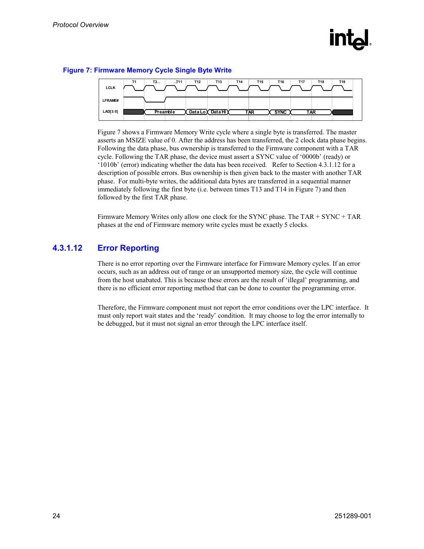

| <b>LCLK</b>    | T1 | T2       | .711 | T <sub>12</sub> | T13    | T14 | T <sub>15</sub> | T16         | T <sub>17</sub> | T18 | T19 |
|----------------|----|----------|------|-----------------|--------|-----|-----------------|-------------|-----------------|-----|-----|
| <b>LFRAME#</b> |    |          |      |                 |        |     |                 |             |                 |     |     |
| LAD[3:0]       |    | Preamble |      | Data LoX        | DataHi |     | TAR             | <b>SYNC</b> |                 | TAR |     |

**Figure 7: Firmware Memory Cycle Single Byte Write**

Figure 7 shows a Firmware Memory Write cycle where a single byte is transferred. The master asserts an MSIZE value of 0. After the address has been transferred, the 2 clock data phase begins. Following the data phase, bus ownership is transferred to the Firmware component with a TAR cycle. Following the TAR phase, the device must assert a SYNC value of '0000b' (ready) or '1010b' (error) indicating whether the data has been received. Refer to Section 4.3.1.12 for a description of possible errors. Bus ownership is then given back to the master with another TAR phase. For multi-byte writes, the additional data bytes are transferred in a sequential manner immediately following the first byte (i.e. between times T13 and T14 in Figure 7) and then followed by the first TAR phase.

Firmware Memory Writes only allow one clock for the SYNC phase. The TAR + SYNC + TAR phases at the end of Firmware memory write cycles must be exactly 5 clocks.

#### **4.3.1.12 Error Reporting**

There is no error reporting over the Firmware interface for Firmware Memory cycles. If an error occurs, such as an address out of range or an unsupported memory size, the cycle will continue from the host unabated. This is because these errors are the result of 'illegal' programming, and there is no efficient error reporting method that can be done to counter the programming error.

Therefore, the Firmware component must not report the error conditions over the LPC interface. It must only report wait states and the 'ready' condition. It may choose to log the error internally to be debugged, but it must not signal an error through the LPC interface itself.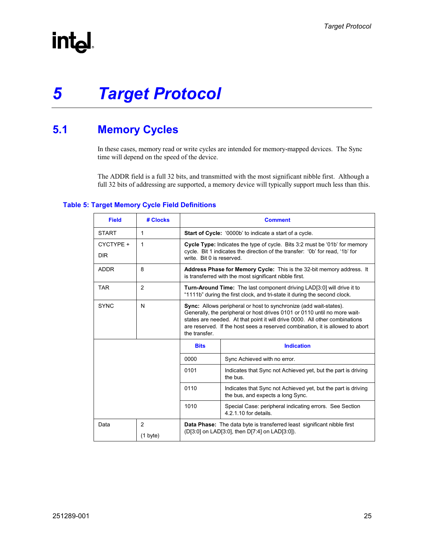# **R**

## *5 Target Protocol*

### **5.1 Memory Cycles**

In these cases, memory read or write cycles are intended for memory-mapped devices. The Sync time will depend on the speed of the device.

The ADDR field is a full 32 bits, and transmitted with the most significant nibble first. Although a full 32 bits of addressing are supported, a memory device will typically support much less than this.

| <b>Field</b>            | # Clocks                |                                                                                                                                                                                                                                                                                                                                        | <b>Comment</b>                                                                                                                                                                           |  |  |  |
|-------------------------|-------------------------|----------------------------------------------------------------------------------------------------------------------------------------------------------------------------------------------------------------------------------------------------------------------------------------------------------------------------------------|------------------------------------------------------------------------------------------------------------------------------------------------------------------------------------------|--|--|--|
| <b>START</b>            | 1                       |                                                                                                                                                                                                                                                                                                                                        | <b>Start of Cycle:</b> '0000b' to indicate a start of a cycle.                                                                                                                           |  |  |  |
| CYCTYPE +<br><b>DIR</b> | 1                       |                                                                                                                                                                                                                                                                                                                                        | Cycle Type: Indicates the type of cycle. Bits 3:2 must be '01b' for memory<br>cycle. Bit 1 indicates the direction of the transfer: '0b' for read, '1b' for<br>write. Bit 0 is reserved. |  |  |  |
| <b>ADDR</b>             | 8                       |                                                                                                                                                                                                                                                                                                                                        | Address Phase for Memory Cycle: This is the 32-bit memory address. It<br>is transferred with the most significant nibble first.                                                          |  |  |  |
| <b>TAR</b>              | 2                       |                                                                                                                                                                                                                                                                                                                                        | Turn-Around Time: The last component driving LAD[3:0] will drive it to<br>"1111b" during the first clock, and tri-state it during the second clock.                                      |  |  |  |
| <b>SYNC</b>             | N                       | <b>Sync:</b> Allows peripheral or host to synchronize (add wait-states).<br>Generally, the peripheral or host drives 0101 or 0110 until no more wait-<br>states are needed. At that point it will drive 0000. All other combinations<br>are reserved. If the host sees a reserved combination, it is allowed to abort<br>the transfer. |                                                                                                                                                                                          |  |  |  |
|                         |                         | <b>Bits</b>                                                                                                                                                                                                                                                                                                                            | <b>Indication</b>                                                                                                                                                                        |  |  |  |
|                         |                         | 0000                                                                                                                                                                                                                                                                                                                                   | Sync Achieved with no error.                                                                                                                                                             |  |  |  |
|                         |                         | 0101                                                                                                                                                                                                                                                                                                                                   | Indicates that Sync not Achieved yet, but the part is driving<br>the bus.                                                                                                                |  |  |  |
|                         |                         | 0110<br>Indicates that Sync not Achieved yet, but the part is driving<br>the bus, and expects a long Sync.                                                                                                                                                                                                                             |                                                                                                                                                                                          |  |  |  |
|                         |                         | 1010<br>Special Case: peripheral indicating errors. See Section<br>4.2.1.10 for details.                                                                                                                                                                                                                                               |                                                                                                                                                                                          |  |  |  |
| Data                    | 2<br>$(1 \text{ byte})$ |                                                                                                                                                                                                                                                                                                                                        | <b>Data Phase:</b> The data byte is transferred least significant nibble first<br>(D[3:0] on LAD[3:0], then D[7:4] on LAD[3:0]).                                                         |  |  |  |

#### **Table 5: Target Memory Cycle Field Definitions**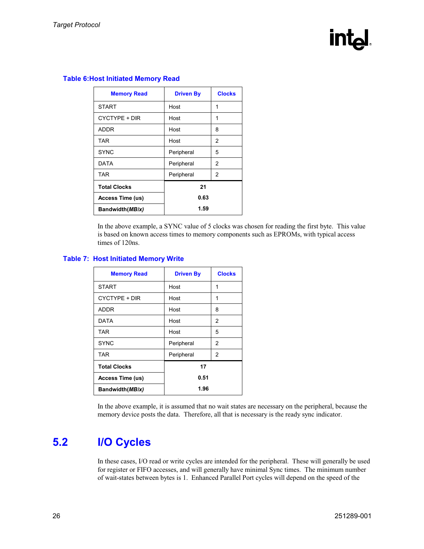## <u>in</u> **R**

| <b>Memory Read</b>   | <b>Driven By</b> | <b>Clocks</b>  |
|----------------------|------------------|----------------|
| <b>START</b>         | Host             | 1              |
| <b>CYCTYPE + DIR</b> | Host             | 1              |
| <b>ADDR</b>          | Host             | 8              |
| <b>TAR</b>           | Host             | 2              |
| <b>SYNC</b>          | Peripheral       | 5              |
| DATA                 | Peripheral       | 2              |
| TAR                  | Peripheral       | $\overline{2}$ |
| <b>Total Clocks</b>  | 21               |                |
| Access Time (us)     | 0.63             |                |
| Bandwidth(MB/x)      | 1.59             |                |

#### **Table 6:Host Initiated Memory Read**

In the above example, a SYNC value of 5 clocks was chosen for reading the first byte. This value is based on known access times to memory components such as EPROMs, with typical access times of 120ns.

#### **Table 7: Host Initiated Memory Write**

| <b>Memory Read</b>  | <b>Driven By</b> | <b>Clocks</b> |
|---------------------|------------------|---------------|
| <b>START</b>        | Host             | 1             |
| CYCTYPE + DIR       | Host             | 1             |
| <b>ADDR</b>         | Host             | 8             |
| DATA                | Host             | 2             |
| <b>TAR</b>          | Host             | 5             |
| <b>SYNC</b>         | Peripheral       | 2             |
| <b>TAR</b>          | Peripheral       | 2             |
| <b>Total Clocks</b> | 17               |               |
| Access Time (us)    | 0.51             |               |
| Bandwidth(MB/x)     | 1.96             |               |

In the above example, it is assumed that no wait states are necessary on the peripheral, because the memory device posts the data. Therefore, all that is necessary is the ready sync indicator.

### **5.2 I/O Cycles**

In these cases, I/O read or write cycles are intended for the peripheral. These will generally be used for register or FIFO accesses, and will generally have minimal Sync times. The minimum number of wait-states between bytes is 1. Enhanced Parallel Port cycles will depend on the speed of the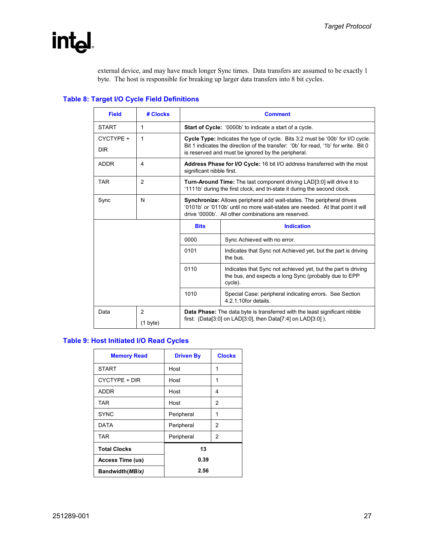

external device, and may have much longer Sync times. Data transfers are assumed to be exactly 1 byte. The host is responsible for breaking up larger data transfers into 8 bit cycles.

#### **Table 8: Target I/O Cycle Field Definitions**

| <b>Field</b>            | # Clocks                |                                                                                                                                                                                                                             | <b>Comment</b>                                                                                                                                         |  |  |
|-------------------------|-------------------------|-----------------------------------------------------------------------------------------------------------------------------------------------------------------------------------------------------------------------------|--------------------------------------------------------------------------------------------------------------------------------------------------------|--|--|
| <b>START</b>            | 1                       |                                                                                                                                                                                                                             | <b>Start of Cycle:</b> '0000b' to indicate a start of a cycle.                                                                                         |  |  |
| CYCTYPE +<br><b>DIR</b> | 1                       | Cycle Type: Indicates the type of cycle. Bits 3:2 must be '00b' for I/O cycle.<br>Bit 1 indicates the direction of the transfer: '0b' for read, '1b' for write. Bit 0<br>is reserved and must be ignored by the peripheral. |                                                                                                                                                        |  |  |
| <b>ADDR</b>             | 4                       | <b>Address Phase for I/O Cycle: 16 bit I/O address transferred with the most</b><br>significant nibble first.                                                                                                               |                                                                                                                                                        |  |  |
| <b>TAR</b>              | 2                       | <b>Turn-Around Time:</b> The last component driving LAD[3:0] will drive it to<br>'1111b' during the first clock, and tri-state it during the second clock.                                                                  |                                                                                                                                                        |  |  |
| Sync                    | N                       | <b>Synchronize:</b> Allows peripheral add wait-states. The peripheral drives<br>'0101b' or '0110b' until no more wait-states are needed. At that point it will<br>drive '0000b'. All other combinations are reserved.       |                                                                                                                                                        |  |  |
|                         |                         | <b>Bits</b>                                                                                                                                                                                                                 | <b>Indication</b>                                                                                                                                      |  |  |
|                         |                         | 0000                                                                                                                                                                                                                        | Sync Achieved with no error.                                                                                                                           |  |  |
|                         |                         | 0101                                                                                                                                                                                                                        | Indicates that Sync not Achieved yet, but the part is driving<br>the bus.                                                                              |  |  |
|                         |                         | 0110<br>Indicates that Sync not achieved yet, but the part is driving<br>the bus, and expects a long Sync (probably due to EPP<br>cycle).                                                                                   |                                                                                                                                                        |  |  |
|                         |                         | 1010<br>Special Case: peripheral indicating errors. See Section<br>4.2.1.10for details.                                                                                                                                     |                                                                                                                                                        |  |  |
| Data                    | 2<br>$(1 \text{ byte})$ |                                                                                                                                                                                                                             | Data Phase: The data byte is transferred with the least significant nibble<br>first: $(Data[3:0]$ on LAD $[3:0]$ , then Data $[7:4]$ on LAD $[3:0]$ ). |  |  |

#### **Table 9: Host Initiated I/O Read Cycles**

| <b>Memory Read</b>  | <b>Driven By</b> | <b>Clocks</b> |
|---------------------|------------------|---------------|
| <b>START</b>        | Host             | 1             |
| CYCTYPE + DIR       | Host             | 1             |
| <b>ADDR</b>         | Host             | 4             |
| <b>TAR</b>          | Host             | 2             |
| <b>SYNC</b>         | Peripheral       | 1             |
| DATA                | Peripheral       | 2             |
| <b>TAR</b>          | Peripheral       | 2             |
| <b>Total Clocks</b> | 13               |               |
| Access Time (us)    | 0.39             |               |
| Bandwidth(MB/x)     | 2.56             |               |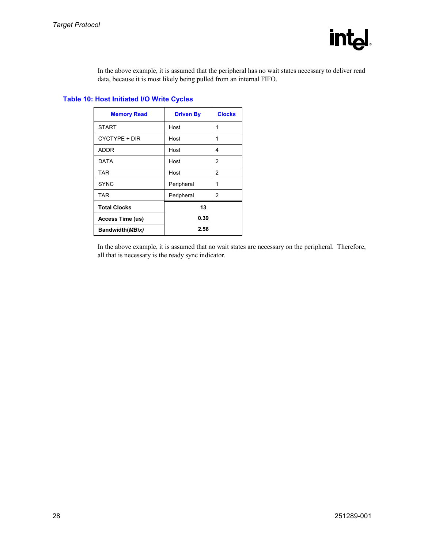

In the above example, it is assumed that the peripheral has no wait states necessary to deliver read data, because it is most likely being pulled from an internal FIFO.

#### **Table 10: Host Initiated I/O Write Cycles**

| <b>Memory Read</b>   | <b>Driven By</b> | <b>Clocks</b> |
|----------------------|------------------|---------------|
| <b>START</b>         | Host             | 1             |
| <b>CYCTYPE + DIR</b> | Host             | 1             |
| <b>ADDR</b>          | Host             | 4             |
| DATA                 | Host             | 2             |
| <b>TAR</b>           | Host             | 2             |
| <b>SYNC</b>          | Peripheral       | 1             |
| <b>TAR</b>           | Peripheral       | 2             |
| <b>Total Clocks</b>  | 13               |               |
| Access Time (us)     | 0.39             |               |
| Bandwidth(MB/x)      | 2.56             |               |

In the above example, it is assumed that no wait states are necessary on the peripheral. Therefore, all that is necessary is the ready sync indicator.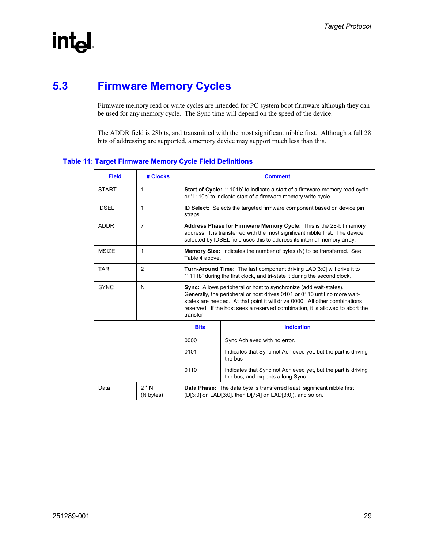# intel

## **5.3 Firmware Memory Cycles**

Firmware memory read or write cycles are intended for PC system boot firmware although they can be used for any memory cycle. The Sync time will depend on the speed of the device.

The ADDR field is 28bits, and transmitted with the most significant nibble first. Although a full 28 bits of addressing are supported, a memory device may support much less than this.

#### **Table 11: Target Firmware Memory Cycle Field Definitions**

| <b>Field</b> | # Clocks             |                                                                                                                                                                                                                                                                                                                             | <b>Comment</b>                                                                                                                       |  |  |
|--------------|----------------------|-----------------------------------------------------------------------------------------------------------------------------------------------------------------------------------------------------------------------------------------------------------------------------------------------------------------------------|--------------------------------------------------------------------------------------------------------------------------------------|--|--|
| <b>START</b> | $\mathbf{1}$         | Start of Cycle: '1101b' to indicate a start of a firmware memory read cycle<br>or '1110b' to indicate start of a firmware memory write cycle.                                                                                                                                                                               |                                                                                                                                      |  |  |
| <b>IDSEL</b> | 1                    | straps.                                                                                                                                                                                                                                                                                                                     | ID Select: Selects the targeted firmware component based on device pin                                                               |  |  |
| <b>ADDR</b>  | $\overline{7}$       | Address Phase for Firmware Memory Cycle: This is the 28-bit memory<br>address. It is transferred with the most significant nibble first. The device<br>selected by IDSEL field uses this to address its internal memory array.                                                                                              |                                                                                                                                      |  |  |
| <b>MSIZE</b> | 1                    | <b>Memory Size:</b> Indicates the number of bytes (N) to be transferred. See<br>Table 4 above.                                                                                                                                                                                                                              |                                                                                                                                      |  |  |
| <b>TAR</b>   | 2                    | Turn-Around Time: The last component driving LAD[3:0] will drive it to<br>"1111b" during the first clock, and tri-state it during the second clock.                                                                                                                                                                         |                                                                                                                                      |  |  |
| <b>SYNC</b>  | N                    | Sync: Allows peripheral or host to synchronize (add wait-states).<br>Generally, the peripheral or host drives 0101 or 0110 until no more wait-<br>states are needed. At that point it will drive 0000. All other combinations<br>reserved. If the host sees a reserved combination, it is allowed to abort the<br>transfer. |                                                                                                                                      |  |  |
|              |                      | <b>Bits</b>                                                                                                                                                                                                                                                                                                                 | <b>Indication</b>                                                                                                                    |  |  |
|              |                      | 0000                                                                                                                                                                                                                                                                                                                        | Sync Achieved with no error.                                                                                                         |  |  |
|              |                      | 0101                                                                                                                                                                                                                                                                                                                        | Indicates that Sync not Achieved yet, but the part is driving<br>the bus                                                             |  |  |
|              |                      | 0110<br>Indicates that Sync not Achieved yet, but the part is driving<br>the bus, and expects a long Sync.                                                                                                                                                                                                                  |                                                                                                                                      |  |  |
| Data         | $2 * N$<br>(N bytes) |                                                                                                                                                                                                                                                                                                                             | Data Phase: The data byte is transferred least significant nibble first<br>(D[3:0] on LAD[3:0], then D[7:4] on LAD[3:0]), and so on. |  |  |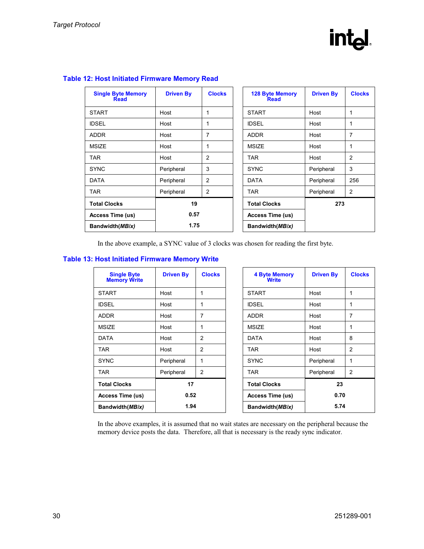# intel

| <b>Single Byte Memory</b><br><b>Read</b> | <b>Driven By</b> | <b>Clocks</b> | <b>128 Byte Memory</b><br>Read | <b>Driven By</b> | <b>Clocks</b>  |
|------------------------------------------|------------------|---------------|--------------------------------|------------------|----------------|
| <b>START</b>                             | Host             |               | <b>START</b>                   | Host             | 1              |
| <b>IDSEL</b>                             | Host             |               | <b>IDSEL</b>                   | Host             | 1              |
| <b>ADDR</b>                              | Host             | 7             | <b>ADDR</b>                    | Host             | $\overline{7}$ |
| <b>MSIZE</b>                             | Host             |               | <b>MSIZE</b>                   | Host             |                |
| TAR                                      | Host             | 2             | <b>TAR</b>                     | Host             | 2              |
| <b>SYNC</b>                              | Peripheral       | 3             | <b>SYNC</b>                    | Peripheral       | 3              |
| <b>DATA</b>                              | Peripheral       | 2             | <b>DATA</b>                    | Peripheral       | 256            |
| <b>TAR</b>                               | Peripheral       | 2             | <b>TAR</b>                     | Peripheral       | 2              |
| <b>Total Clocks</b>                      | 19               |               | <b>Total Clocks</b>            | 273              |                |
| Access Time (us)                         | 0.57             |               | <b>Access Time (us)</b>        |                  |                |
| Bandwidth(MB/x)                          | 1.75             |               | Bandwidth(MB/x)                |                  |                |

#### **Table 12: Host Initiated Firmware Memory Read**

In the above example, a SYNC value of 3 clocks was chosen for reading the first byte.

#### **Table 13: Host Initiated Firmware Memory Write**

| <b>Single Byte</b><br><b>Memory Write</b> | <b>Driven By</b> | <b>Clocks</b> | <b>4 Byte Memory</b><br><b>Write</b> | <b>Driven By</b> | <b>Clocks</b>  |
|-------------------------------------------|------------------|---------------|--------------------------------------|------------------|----------------|
| <b>START</b>                              | Host             | 1             | <b>START</b>                         | Host             | 1              |
| <b>IDSEL</b>                              | Host             | 1             | <b>IDSEL</b>                         | Host             | 1              |
| <b>ADDR</b>                               | Host             | 7             | <b>ADDR</b>                          | Host             | $\overline{7}$ |
| <b>MSIZE</b>                              | Host             | 1             | <b>MSIZE</b>                         | Host             | 1              |
| <b>DATA</b>                               | Host             | 2             | <b>DATA</b>                          | Host             | 8              |
| <b>TAR</b>                                | Host             | 2             | <b>TAR</b>                           | Host             | 2              |
| <b>SYNC</b>                               | Peripheral       | 1             | <b>SYNC</b>                          | Peripheral       | 1              |
| <b>TAR</b>                                | Peripheral       | 2             | <b>TAR</b>                           | Peripheral       | 2              |
| <b>Total Clocks</b>                       | 17               |               | <b>Total Clocks</b>                  | 23               |                |
| Access Time (us)                          | 0.52             |               | <b>Access Time (us)</b>              | 0.70             |                |
| Bandwidth(MB/x)                           | 1.94             |               | Bandwidth(MB/x)                      | 5.74             |                |

In the above examples, it is assumed that no wait states are necessary on the peripheral because the memory device posts the data. Therefore, all that is necessary is the ready sync indicator.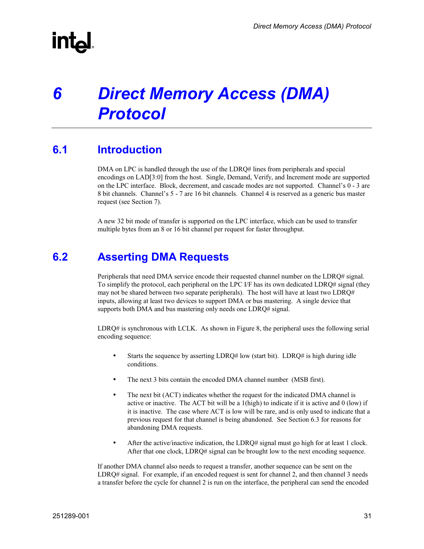## *6 Direct Memory Access (DMA) Protocol*

### **6.1** Introduction

DMA on LPC is handled through the use of the LDRQ# lines from peripherals and special encodings on LAD[3:0] from the host. Single, Demand, Verify, and Increment mode are supported on the LPC interface. Block, decrement, and cascade modes are not supported. Channel's 0 -3 are 8 bit channels. Channel's 5 -7 are 16 bit channels. Channel 4 is reserved as a generic bus master request (see Section 7).

A new 32 bit mode of transfer is supported on the LPC interface, which can be used to transfer multiple bytes from an 8 or 16 bit channel per request for faster throughput.

### **6.2 Asserting DMA Requests**

Peripherals that need DMA service encode their requested channel number on the LDRQ# signal. To simplify the protocol, each peripheral on the LPC I/F has its own dedicated LDRQ# signal (they may not be shared between two separate peripherals). The host will have at least two LDRQ# inputs, allowing at least two devices to support DMA or bus mastering. A single device that supports both DMA and bus mastering only needs one LDRQ# signal.

LDRQ# is synchronous with LCLK. As shown in Figure 8, the peripheral uses the following serial encoding sequence:

- Starts the sequence by asserting LDRQ# low (start bit). LDRQ# is high during idle conditions.
- The next 3 bits contain the encoded DMA channel number (MSB first).
- The next bit (ACT) indicates whether the request for the indicated DMA channel is active or inactive. The ACT bit will be a 1(high) to indicate if it is active and 0 (low) if it is inactive. The case where ACT is low will be rare, and is only used to indicate that a previous request for that channel is being abandoned. See Section 6.3 for reasons for abandoning DMA requests.
- After the active/inactive indication, the LDRQ# signal must go high for at least 1 clock. After that one clock, LDRQ# signal can be brought low to the next encoding sequence.

If another DMA channel also needs to request a transfer, another sequence can be sent on the LDRQ# signal. For example, if an encoded request is sent for channel 2, and then channel 3 needs a transfer before the cycle for channel 2 is run on the interface, the peripheral can send the encoded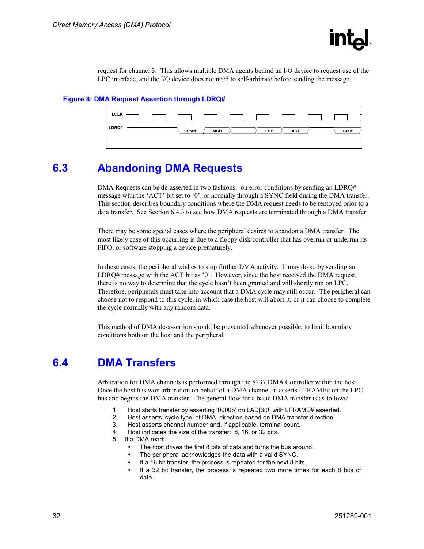

request for channel 3. This allows multiple DMA agents behind an I/O device to request use of the LPC interface, and the I/O device does not need to self-arbitrate before sending the message.

#### **Figure 8: DMA Request Assertion through LDRQ#**



### **6.3 Abandoning DMA Requests**

DMA Requests can be de-asserted in two fashions: on error conditions by sending an LDRQ# message with the 'ACT' bit set to '0', or normally through a SYNC field during the DMA transfer. This section describes boundary conditions where the DMA request needs to be removed prior to a data transfer. See Section 6.4.3 to see how DMA requests are terminated through a DMA transfer.

There may be some special cases where the peripheral desires to abandon a DMA transfer. The most likely case of this occurring is due to a floppy disk controller that has overrun or underrun its FIFO, or software stopping a device prematurely.

In these cases, the peripheral wishes to stop further DMA activity. It may do so by sending an LDRQ# message with the ACT bit as '0'. However, since the host received the DMA request, there is no way to determine that the cycle hasn't been granted and will shortly run on LPC. Therefore, peripherals must take into account that a DMA cycle may still occur. The peripheral can choose not to respond to this cycle, in which case the host will abort it, or it can choose to complete the cycle normally with any random data.

This method of DMA de-assertion should be prevented whenever possible, to limit boundary conditions both on the host and the peripheral.

### **6.4 DMA Transfers**

Arbitration for DMA channels is performed through the 8237 DMA Controller within the host. Once the host has won arbitration on behalf of a DMA channel, it asserts LFRAME# on the LPC bus and begins the DMA transfer. The general flow for a basic DMA transfer is as follows:

- 1. Host starts transfer by asserting '0000b' on LAD[3:0] with LFRAME# asserted.
- 2. Host asserts 'cycle type' of DMA, direction based on DMA transfer direction.
- Host asserts channel number and, if applicable, terminal count.
- 4.Host indicates the size of the transfer: 8, 16, or 32 bits.
- 5. If a DMA read:
	- The host drives the first 8 bits of data and turns the bus around.
	- The peripheral acknowledges the data with a valid SYNC.
	- If a 16 bit transfer, the process is repeated for the next 8 bits.
	- If a 32 bit transfer, the process is repeated two more times for each 8 bits of data.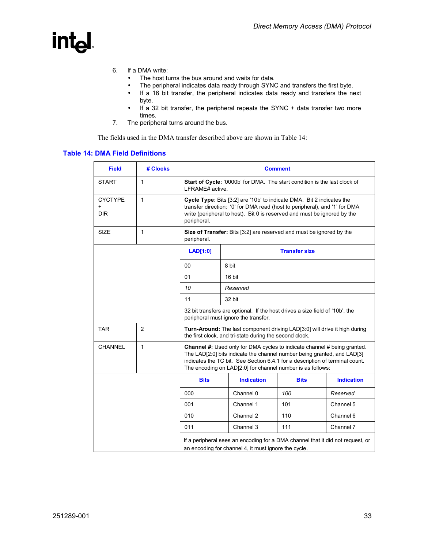# **R**

#### 6. If a DMA write:

- The host turns the bus around and waits for data.
- The peripheral indicates data ready through SYNC and transfers the first byte.
- If a 16 bit transfer, the peripheral indicates data ready and transfers the next byte.
- If a 32 bit transfer, the peripheral repeats the SYNC + data transfer two more times.
- 7. The peripheral turns around the bus.

The fields used in the DMA transfer described above are shown in Table 14:

#### **Table 14: DMA Field Definitions**

| <b>Field</b>                        | # Clocks                |                                                                                                                                                                                                                                                                                                          |                                                                                                                                       | <b>Comment</b> |                   |  |
|-------------------------------------|-------------------------|----------------------------------------------------------------------------------------------------------------------------------------------------------------------------------------------------------------------------------------------------------------------------------------------------------|---------------------------------------------------------------------------------------------------------------------------------------|----------------|-------------------|--|
| <b>START</b>                        | 1                       | Start of Cycle: '0000b' for DMA. The start condition is the last clock of<br>LFRAME# active.                                                                                                                                                                                                             |                                                                                                                                       |                |                   |  |
| <b>CYCTYPE</b><br>$+$<br><b>DIR</b> | $\mathbf{1}$            | Cycle Type: Bits [3:2] are '10b' to indicate DMA. Bit 2 indicates the<br>transfer direction: '0' for DMA read (host to peripheral), and '1' for DMA<br>write (peripheral to host). Bit 0 is reserved and must be ignored by the<br>peripheral.                                                           |                                                                                                                                       |                |                   |  |
| <b>SIZE</b>                         | $\mathbf{1}$            | Size of Transfer: Bits [3:2] are reserved and must be ignored by the<br>peripheral.                                                                                                                                                                                                                      |                                                                                                                                       |                |                   |  |
|                                     |                         | <b>Transfer size</b><br>LAD[1:0]                                                                                                                                                                                                                                                                         |                                                                                                                                       |                |                   |  |
|                                     |                         | 8 bit<br>00                                                                                                                                                                                                                                                                                              |                                                                                                                                       |                |                   |  |
|                                     |                         | 16 bit<br>01                                                                                                                                                                                                                                                                                             |                                                                                                                                       |                |                   |  |
|                                     |                         | 10<br>Reserved                                                                                                                                                                                                                                                                                           |                                                                                                                                       |                |                   |  |
|                                     |                         | 11<br>32 bit                                                                                                                                                                                                                                                                                             |                                                                                                                                       |                |                   |  |
|                                     |                         |                                                                                                                                                                                                                                                                                                          | 32 bit transfers are optional. If the host drives a size field of '10b', the<br>peripheral must ignore the transfer.                  |                |                   |  |
| TAR                                 | 2                       |                                                                                                                                                                                                                                                                                                          | Turn-Around: The last component driving LAD[3:0] will drive it high during<br>the first clock, and tri-state during the second clock. |                |                   |  |
| <b>CHANNEL</b>                      | $\mathbf{1}$            | <b>Channel #:</b> Used only for DMA cycles to indicate channel # being granted.<br>The LAD[2:0] bits indicate the channel number being granted, and LAD[3]<br>indicates the TC bit. See Section 6.4.1 for a description of terminal count.<br>The encoding on LAD[2:0] for channel number is as follows: |                                                                                                                                       |                |                   |  |
|                                     |                         | <b>Bits</b>                                                                                                                                                                                                                                                                                              | <b>Indication</b>                                                                                                                     | <b>Bits</b>    | <b>Indication</b> |  |
|                                     |                         | 000                                                                                                                                                                                                                                                                                                      | Channel 0                                                                                                                             | 100            | Reserved          |  |
|                                     |                         | 001                                                                                                                                                                                                                                                                                                      | Channel 1                                                                                                                             | 101            | Channel 5         |  |
|                                     |                         | 010                                                                                                                                                                                                                                                                                                      | Channel 2                                                                                                                             | 110            | Channel 6         |  |
|                                     | 011<br>Channel 3<br>111 |                                                                                                                                                                                                                                                                                                          |                                                                                                                                       | Channel 7      |                   |  |
|                                     |                         | If a peripheral sees an encoding for a DMA channel that it did not request, or<br>an encoding for channel 4, it must ignore the cycle.                                                                                                                                                                   |                                                                                                                                       |                |                   |  |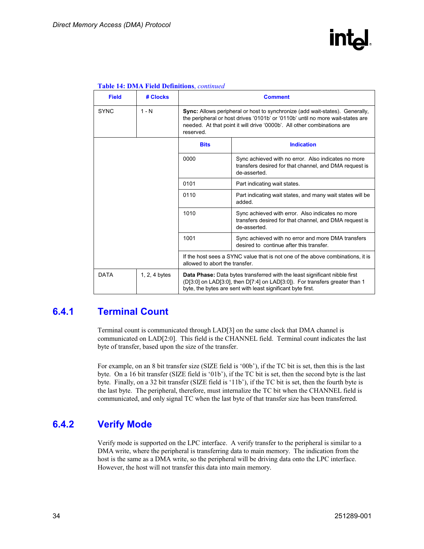

| <b>Field</b> | # Clocks      | <b>Comment</b>                                                                                                                                                                                                                                                |                                                                                                                               |  |  |  |
|--------------|---------------|---------------------------------------------------------------------------------------------------------------------------------------------------------------------------------------------------------------------------------------------------------------|-------------------------------------------------------------------------------------------------------------------------------|--|--|--|
| <b>SYNC</b>  | $1 - N$       | <b>Sync:</b> Allows peripheral or host to synchronize (add wait-states). Generally,<br>the peripheral or host drives '0101b' or '0110b' until no more wait-states are<br>needed. At that point it will drive '0000b'. All other combinations are<br>reserved. |                                                                                                                               |  |  |  |
|              |               | <b>Bits</b>                                                                                                                                                                                                                                                   | <b>Indication</b>                                                                                                             |  |  |  |
|              |               | 0000                                                                                                                                                                                                                                                          | Sync achieved with no error. Also indicates no more<br>transfers desired for that channel, and DMA request is<br>de-asserted. |  |  |  |
|              |               | 0101<br>Part indicating wait states.                                                                                                                                                                                                                          |                                                                                                                               |  |  |  |
|              |               | 0110<br>Part indicating wait states, and many wait states will be<br>added.                                                                                                                                                                                   |                                                                                                                               |  |  |  |
|              |               | 1010                                                                                                                                                                                                                                                          | Sync achieved with error. Also indicates no more<br>transfers desired for that channel, and DMA request is<br>de-asserted.    |  |  |  |
|              |               | 1001<br>Sync achieved with no error and more DMA transfers<br>desired to continue after this transfer.                                                                                                                                                        |                                                                                                                               |  |  |  |
|              |               | If the host sees a SYNC value that is not one of the above combinations, it is<br>allowed to abort the transfer.                                                                                                                                              |                                                                                                                               |  |  |  |
| <b>DATA</b>  | 1, 2, 4 bytes | <b>Data Phase:</b> Data bytes transferred with the least significant nibble first<br>(D[3:0] on LAD[3:0], then D[7:4] on LAD[3:0]). For transfers greater than 1<br>byte, the bytes are sent with least significant byte first.                               |                                                                                                                               |  |  |  |

#### **Table 14: DMA Field Definitions**, *continued*

### **6.4.1 Terminal Count**

Terminal count is communicated through LAD[3] on the same clock that DMA channel is communicated on LAD[2:0]. This field is the CHANNEL field. Terminal count indicates the last byte of transfer, based upon the size of the transfer.

For example, on an 8 bit transfer size (SIZE field is '00b'), if the TC bit is set, then this is the last byte. On a 16 bit transfer (SIZE field is '01b'), if the TC bit is set, then the second byte is the last byte. Finally, on a 32 bit transfer (SIZE field is '11b'), if the TC bit is set, then the fourth byte is the last byte. The peripheral, therefore, must internalize the TC bit when the CHANNEL field is communicated, and only signal TC when the last byte of that transfer size has been transferred.

### **6.4.2 Verify Mode**

Verify mode is supported on the LPC interface. A verify transfer to the peripheral is similar to a DMA write, where the peripheral is transferring data to main memory. The indication from the host is the same as a DMA write, so the peripheral will be driving data onto the LPC interface. However, the host will not transfer this data into main memory.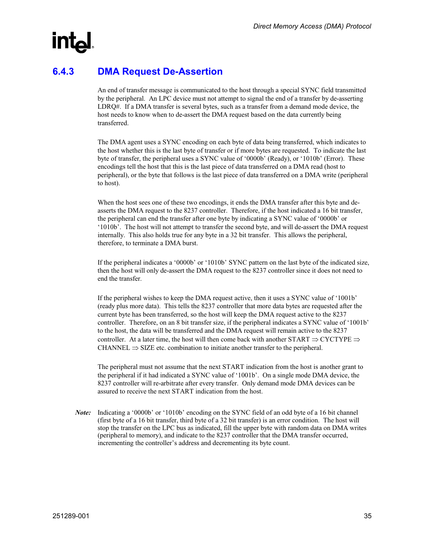### **6.4.3 DMA Request De-Assertion**

An end of transfer message is communicated to the host through a special SYNC field transmitted by the peripheral. An LPC device must not attempt to signal the end of a transfer by de-asserting LDRQ#. If a DMA transfer is several bytes, such as a transfer from a demand mode device, the host needs to know when to de-assert the DMA request based on the data currently being transferred.

The DMA agent uses a SYNC encoding on each byte of data being transferred, which indicates to the host whether this is the last byte of transfer or if more bytes are requested. To indicate the last byte of transfer, the peripheral uses a SYNC value of '0000b' (Ready), or '1010b' (Error). These encodings tell the host that this is the last piece of data transferred on a DMA read (host to peripheral), or the byte that follows is the last piece of data transferred on a DMA write (peripheral to host).

When the host sees one of these two encodings, it ends the DMA transfer after this byte and deasserts the DMA request to the 8237 controller. Therefore, if the host indicated a 16 bit transfer, the peripheral can end the transfer after one byte by indicating a SYNC value of '0000b' or '1010b'. The host will not attempt to transfer the second byte, and will de-assert the DMA request internally. This also holds true for any byte in a 32 bit transfer. This allows the peripheral, therefore, to terminate a DMA burst.

If the peripheral indicates a '0000b' or '1010b' SYNC pattern on the last byte of the indicated size, then the host will only de-assert the DMA request to the 8237 controller since it does not need to end the transfer.

If the peripheral wishes to keep the DMA request active, then it uses a SYNC value of '1001b' (ready plus more data). This tells the 8237 controller that more data bytes are requested after the current byte has been transferred, so the host will keep the DMA request active to the 8237 controller. Therefore, on an 8 bit transfer size, if the peripheral indicates a SYNC value of '1001b' to the host, the data will be transferred and the DMA request will remain active to the 8237 controller. At a later time, the host will then come back with another START  $\Rightarrow$  CYCTYPE  $\Rightarrow$ CHANNEL  $\Rightarrow$  SIZE etc. combination to initiate another transfer to the peripheral.

The peripheral must not assume that the next START indication from the host is another grant to the peripheral if it had indicated a SYNC value of '1001b'. On a single mode DMA device, the 8237 controller will re-arbitrate after every transfer. Only demand mode DMA devices can be assured to receive the next START indication from the host.

*Note:* Indicating a '0000b' or '1010b' encoding on the SYNC field of an odd byte of a 16 bit channel (first byte of a 16 bit transfer, third byte of a 32 bit transfer) is an error condition. The host will stop the transfer on the LPC bus as indicated, fill the upper byte with random data on DMA writes (peripheral to memory), and indicate to the 8237 controller that the DMA transfer occurred, incrementing the controller's address and decrementing its byte count.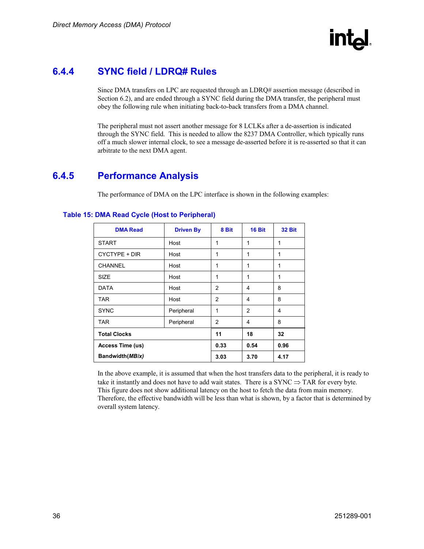

### **6.4.4 SYNC field / LDRQ# Rules**

Since DMA transfers on LPC are requested through an LDRQ# assertion message (described in Section 6.2), and are ended through a SYNC field during the DMA transfer, the peripheral must obey the following rule when initiating back-to-back transfers from a DMA channel.

The peripheral must not assert another message for 8 LCLKs after a de-assertion is indicated through the SYNC field. This is needed to allow the 8237 DMA Controller, which typically runs off a much slower internal clock, to see a message de-asserted before it is re-asserted so that it can arbitrate to the next DMA agent.

### **6.4.5 Performance Analysis**

The performance of DMA on the LPC interface is shown in the following examples:

| <b>DMA Read</b>         | <b>Driven By</b> |                | 16 Bit         | <b>32 Bit</b> |
|-------------------------|------------------|----------------|----------------|---------------|
| <b>START</b>            | Host             | 1              | 1              | 1             |
| CYCTYPE + DIR           | Host             | 1              | 1              | 1             |
| <b>CHANNEL</b>          | Host             | 1              | 1              | 1             |
| <b>SIZE</b>             | Host             | 1              | 1              | 1             |
| <b>DATA</b>             | Host             | $\overline{2}$ | 4              | 8             |
| <b>TAR</b>              | Host             | $\overline{2}$ | 4              | 8             |
| <b>SYNC</b>             | Peripheral       | 1              | $\overline{2}$ | 4             |
| <b>TAR</b>              | Peripheral       | $\overline{2}$ | 4              | 8             |
| <b>Total Clocks</b>     |                  | 11             | 18             | 32            |
| <b>Access Time (us)</b> | 0.33             | 0.54           | 0.96           |               |
| Bandwidth(MB/x)         | 3.03             | 3.70           | 4.17           |               |

#### **Table 15: DMA Read Cycle (Host to Peripheral)**

In the above example, it is assumed that when the host transfers data to the peripheral, it is ready to take it instantly and does not have to add wait states. There is a SYNC  $\Rightarrow$  TAR for every byte. This figure does not show additional latency on the host to fetch the data from main memory. Therefore, the effective bandwidth will be less than what is shown, by a factor that is determined by overall system latency.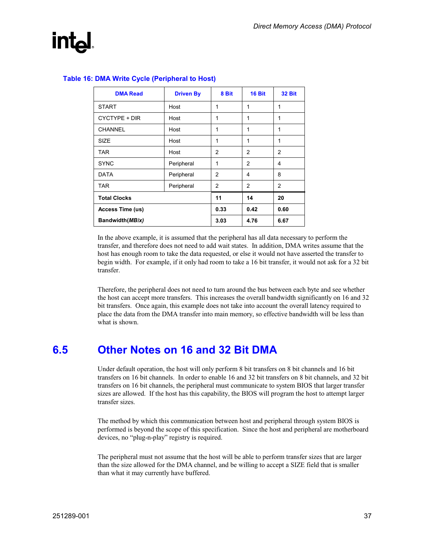# **int**

| <b>DMA Read</b>         | <b>Driven By</b> | 8 Bit          | 16 Bit         | <b>32 Bit</b>  |
|-------------------------|------------------|----------------|----------------|----------------|
| <b>START</b>            | Host             | 1              | 1              | 1              |
| CYCTYPE + DIR           | Host             | 1              | 1              | 1              |
| <b>CHANNEL</b>          | Host             | 1              | 1              | 1              |
| <b>SIZE</b>             | Host             | 1              | 1              | 1              |
| <b>TAR</b>              | Host             | $\overline{2}$ | $\overline{2}$ | $\overline{2}$ |
| <b>SYNC</b>             | Peripheral       | 1              | $\overline{2}$ | 4              |
| <b>DATA</b>             | Peripheral       | $\mathfrak{p}$ | 4              | 8              |
| TAR                     | Peripheral       | $\overline{2}$ | 2              | $\overline{2}$ |
| <b>Total Clocks</b>     |                  | 11             | 14             | 20             |
| <b>Access Time (us)</b> | 0.33             | 0.42           | 0.60           |                |
| Bandwidth(MB/x)         | 3.03             | 4.76           | 6.67           |                |

#### **Table 16: DMA Write Cycle (Peripheral to Host)**

In the above example, it is assumed that the peripheral has all data necessary to perform the transfer, and therefore does not need to add wait states. In addition, DMA writes assume that the host has enough room to take the data requested, or else it would not have asserted the transfer to begin width. For example, if it only had room to take a 16 bit transfer, it would not ask for a 32 bit transfer.

Therefore, the peripheral does not need to turn around the bus between each byte and see whether the host can accept more transfers. This increases the overall bandwidth significantly on 16 and 32 bit transfers. Once again, this example does not take into account the overall latency required to place the data from the DMA transfer into main memory, so effective bandwidth will be less than what is shown.

### **6.5 Other Notes on 16 and 32 Bit DMA**

Under default operation, the host will only perform 8 bit transfers on 8 bit channels and 16 bit transfers on 16 bit channels. In order to enable 16 and 32 bit transfers on 8 bit channels, and 32 bit transfers on 16 bit channels, the peripheral must communicate to system BIOS that larger transfer sizes are allowed. If the host has this capability, the BIOS will program the host to attempt larger transfer sizes.

The method by which this communication between host and peripheral through system BIOS is performed is beyond the scope of this specification. Since the host and peripheral are motherboard devices, no "plug-n-play" registry is required.

The peripheral must not assume that the host will be able to perform transfer sizes that are larger than the size allowed for the DMA channel, and be willing to accept a SIZE field that is smaller than what it may currently have buffered.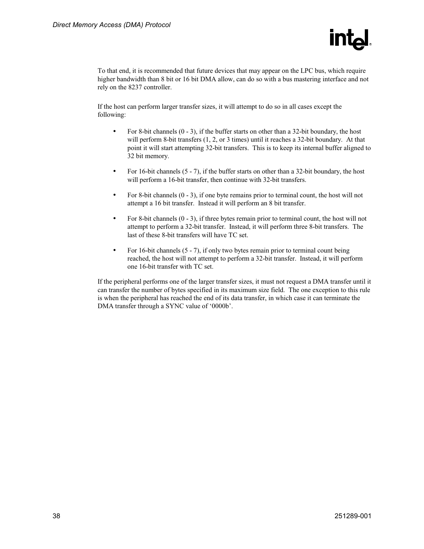

To that end, it is recommended that future devices that may appear on the LPC bus, which require higher bandwidth than 8 bit or 16 bit DMA allow, can do so with a bus mastering interface and not rely on the 8237 controller.

If the host can perform larger transfer sizes, it will attempt to do so in all cases except the following:

- For 8-bit channels  $(0 3)$ , if the buffer starts on other than a 32-bit boundary, the host will perform 8-bit transfers (1, 2, or 3 times) until it reaches a 32-bit boundary. At that point it will start attempting 32-bit transfers. This is to keep its internal buffer aligned to 32 bit memory.
- For 16-bit channels (5 7), if the buffer starts on other than a 32-bit boundary, the host will perform a 16-bit transfer, then continue with 32-bit transfers.
- For 8-bit channels  $(0 3)$ , if one byte remains prior to terminal count, the host will not attempt a 16 bit transfer. Instead it will perform an 8 bit transfer.
- For 8-bit channels  $(0 3)$ , if three bytes remain prior to terminal count, the host will not attempt to perform a 32-bit transfer. Instead, it will perform three 8-bit transfers. The last of these 8-bit transfers will have TC set.
- For 16-bit channels (5 7), if only two bytes remain prior to terminal count being reached, the host will not attempt to perform a 32-bit transfer. Instead, it will perform one 16-bit transfer with TC set.

If the peripheral performs one of the larger transfer sizes, it must not request a DMA transfer until it can transfer the number of bytes specified in its maximum size field. The one exception to this rule is when the peripheral has reached the end of its data transfer, in which case it can terminate the DMA transfer through a SYNC value of '0000b'.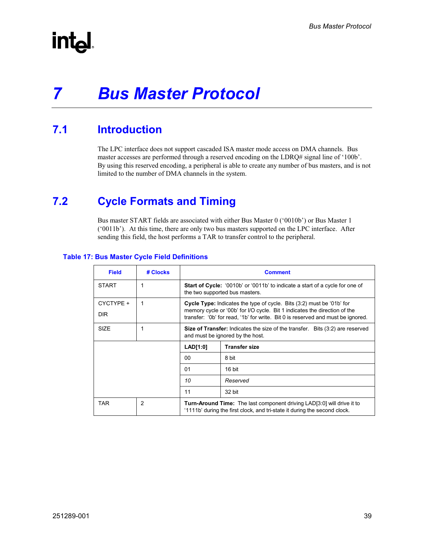# **intal**

## *7 Bus Master Protocol*

## **7.1** Introduction

The LPC interface does not support cascaded ISA master mode access on DMA channels. Bus master accesses are performed through a reserved encoding on the LDRQ# signal line of '100b'. By using this reserved encoding, a peripheral is able to create any number of bus masters, and is not limited to the number of DMA channels in the system.

## **7.2 Cycle Formats and Timing**

Bus master START fields are associated with either Bus Master 0 ('0010b') or Bus Master 1 ('0011b'). At this time, there are only two bus masters supported on the LPC interface. After sending this field, the host performs a TAR to transfer control to the peripheral.

#### **Table 17: Bus Master Cycle Field Definitions**

| <b>Field</b>            | # Clocks | <b>Comment</b>                                                                                                                                                                                                                        |          |  |  |
|-------------------------|----------|---------------------------------------------------------------------------------------------------------------------------------------------------------------------------------------------------------------------------------------|----------|--|--|
| <b>START</b>            |          | <b>Start of Cycle:</b> '0010b' or '0011b' to indicate a start of a cycle for one of<br>the two supported bus masters.                                                                                                                 |          |  |  |
| CYCTYPE +<br><b>DIR</b> |          | Cycle Type: Indicates the type of cycle. Bits (3:2) must be '01b' for<br>memory cycle or '00b' for I/O cycle. Bit 1 indicates the direction of the<br>transfer: '0b' for read, '1b' for write. Bit 0 is reserved and must be ignored. |          |  |  |
| <b>SIZE</b>             |          | Size of Transfer: Indicates the size of the transfer. Bits (3:2) are reserved<br>and must be ignored by the host.                                                                                                                     |          |  |  |
|                         |          | <b>Transfer size</b><br>LAD[1:0]                                                                                                                                                                                                      |          |  |  |
|                         |          | 00                                                                                                                                                                                                                                    | 8 bit    |  |  |
|                         |          | 01                                                                                                                                                                                                                                    | 16 bit   |  |  |
|                         |          | 10                                                                                                                                                                                                                                    | Reserved |  |  |
|                         |          | 11<br>32 bit                                                                                                                                                                                                                          |          |  |  |
| TAR                     | 2        | <b>Turn-Around Time:</b> The last component driving LAD[3:0] will drive it to<br>'1111b' during the first clock, and tri-state it during the second clock.                                                                            |          |  |  |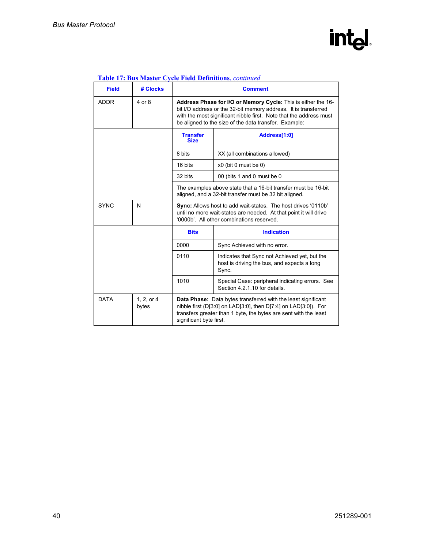## intel

| <b>Field</b> | # Clocks            | <b>Comment</b>                                                                                                                                                                                                                                                  |                              |  |  |  |
|--------------|---------------------|-----------------------------------------------------------------------------------------------------------------------------------------------------------------------------------------------------------------------------------------------------------------|------------------------------|--|--|--|
| <b>ADDR</b>  | 4 or 8              | Address Phase for I/O or Memory Cycle: This is either the 16-<br>bit I/O address or the 32-bit memory address. It is transferred<br>with the most significant nibble first. Note that the address must<br>be aligned to the size of the data transfer. Example: |                              |  |  |  |
|              |                     | <b>Transfer</b><br>Address[1:0]<br><b>Size</b>                                                                                                                                                                                                                  |                              |  |  |  |
|              |                     | 8 bits<br>XX (all combinations allowed)                                                                                                                                                                                                                         |                              |  |  |  |
|              |                     | 16 bits<br>x0 (bit 0 must be 0)                                                                                                                                                                                                                                 |                              |  |  |  |
|              |                     | 32 bits<br>00 (bits 1 and 0 must be 0                                                                                                                                                                                                                           |                              |  |  |  |
|              |                     | The examples above state that a 16-bit transfer must be 16-bit<br>aligned, and a 32-bit transfer must be 32 bit aligned.                                                                                                                                        |                              |  |  |  |
| <b>SYNC</b>  | N                   | Sync: Allows host to add wait-states. The host drives '0110b'<br>until no more wait-states are needed. At that point it will drive<br>'0000b'. All other combinations reserved.                                                                                 |                              |  |  |  |
|              |                     | <b>Bits</b>                                                                                                                                                                                                                                                     | <b>Indication</b>            |  |  |  |
|              |                     | 0000                                                                                                                                                                                                                                                            | Sync Achieved with no error. |  |  |  |
|              |                     | 0110<br>Indicates that Sync not Achieved yet, but the<br>host is driving the bus, and expects a long<br>Sync.                                                                                                                                                   |                              |  |  |  |
|              |                     | 1010<br>Special Case: peripheral indicating errors. See<br>Section 4.2.1.10 for details.                                                                                                                                                                        |                              |  |  |  |
| <b>DATA</b>  | 1, 2, or 4<br>bytes | Data Phase: Data bytes transferred with the least significant<br>nibble first (D[3:0] on LAD[3:0], then D[7:4] on LAD[3:0]). For<br>transfers greater than 1 byte, the bytes are sent with the least<br>significant byte first.                                 |                              |  |  |  |

#### **Table 17: Bus Master Cycle Field Definitions**, *continued*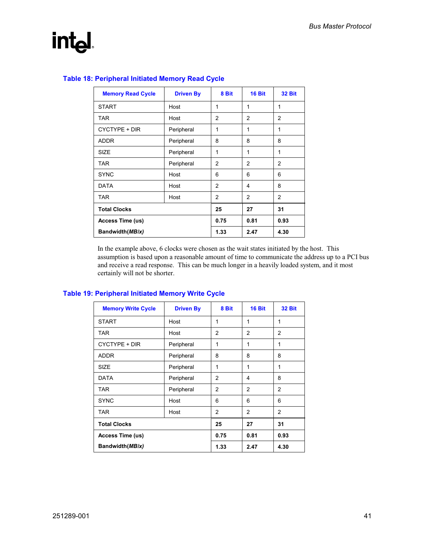# **R**

| <b>Memory Read Cycle</b> | <b>Driven By</b> | 8 Bit          | 16 Bit         | <b>32 Bit</b>  |
|--------------------------|------------------|----------------|----------------|----------------|
| <b>START</b>             | Host             | 1              | 1              | 1              |
| <b>TAR</b>               | Host             | $\overline{2}$ | $\overline{2}$ | $\overline{2}$ |
| CYCTYPE + DIR            | Peripheral       | 1              | 1              | 1              |
| <b>ADDR</b>              | Peripheral       | 8              | 8              | 8              |
| <b>SIZE</b>              | Peripheral       | 1              | 1              | 1              |
| <b>TAR</b>               | Peripheral       | $\overline{2}$ | $\overline{2}$ | $\overline{2}$ |
| <b>SYNC</b>              | Host             | 6              | 6              | 6              |
| <b>DATA</b>              | Host             | $\overline{2}$ | 4              | 8              |
| <b>TAR</b>               | Host             | 2              | $\overline{2}$ | 2              |
| <b>Total Clocks</b>      |                  | 25             | 27             | 31             |
| Access Time (us)         | 0.75             | 0.81           | 0.93           |                |
| Bandwidth(MB/x)          |                  | 1.33           | 2.47           | 4.30           |

#### **Table 18: Peripheral Initiated Memory Read Cycle**

In the example above, 6 clocks were chosen as the wait states initiated by the host. This assumption is based upon a reasonable amount of time to communicate the address up to a PCI bus and receive a read response. This can be much longer in a heavily loaded system, and it most certainly will not be shorter.

#### **Table 19: Peripheral Initiated Memory Write Cycle**

| <b>Memory Write Cycle</b> | <b>Driven By</b> | 8 Bit          | 16 Bit         | <b>32 Bit</b>  |
|---------------------------|------------------|----------------|----------------|----------------|
| <b>START</b>              | Host             | 1              | 1              | 1              |
| <b>TAR</b>                | Host             | $\overline{2}$ | 2              | 2              |
| CYCTYPE + DIR             | Peripheral       | 1              | 1              | 1              |
| <b>ADDR</b>               | Peripheral       | 8              | 8              | 8              |
| <b>SIZE</b>               | Peripheral       | 1              | 1              | 1              |
| <b>DATA</b>               | Peripheral       | $\overline{2}$ | 4              | 8              |
| <b>TAR</b>                | Peripheral       | 2              | $\mathfrak{p}$ | $\mathfrak{p}$ |
| <b>SYNC</b>               | Host             | 6              | 6              | 6              |
| <b>TAR</b>                | Host             | 2              | 2              | 2              |
| <b>Total Clocks</b>       |                  | 25             | 27             | 31             |
| Access Time (us)          | 0.75             | 0.81           | 0.93           |                |
| Bandwidth(MB/x)           |                  | 1.33           | 2.47           | 4.30           |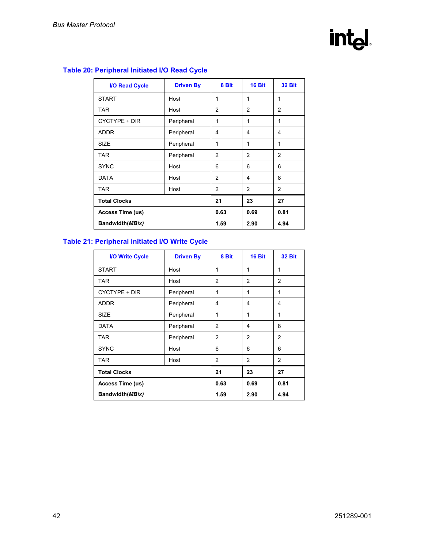## intel **R**

| <b>I/O Read Cycle</b> | <b>Driven By</b> | 8 Bit          | 16 Bit | <b>32 Bit</b>  |
|-----------------------|------------------|----------------|--------|----------------|
| <b>START</b>          | Host             | 1              | 1      | 1              |
| <b>TAR</b>            | Host             | 2              | 2      | $\overline{2}$ |
| CYCTYPE + DIR         | Peripheral       | 1              | 1      | 1              |
| <b>ADDR</b>           | Peripheral       | 4              | 4      | 4              |
| <b>SIZE</b>           | Peripheral       | 1              | 1      | 1              |
| <b>TAR</b>            | Peripheral       | 2              | 2      | $\overline{2}$ |
| <b>SYNC</b>           | Host             | 6              | 6      | 6              |
| <b>DATA</b>           | Host             | $\overline{2}$ | 4      | 8              |
| <b>TAR</b><br>Host    |                  | $\overline{2}$ | 2      | $\overline{2}$ |
| <b>Total Clocks</b>   | 21               | 23             | 27     |                |
| Access Time (us)      | 0.63             | 0.69           | 0.81   |                |
| Bandwidth(MB/x)       | 1.59             | 2.90           | 4.94   |                |

#### **Table 20: Peripheral Initiated I/O Read Cycle**

### **Table 21: Peripheral Initiated I/O Write Cycle**

| <b>I/O Write Cycle</b> | <b>Driven By</b> |                | 16 Bit         | <b>32 Bit</b>  |
|------------------------|------------------|----------------|----------------|----------------|
| <b>START</b>           | Host             | 1              | 1              | 1              |
| <b>TAR</b>             | Host             | $\overline{2}$ | $\overline{2}$ | $\overline{2}$ |
| CYCTYPE + DIR          | Peripheral       | 1              | 1              | 1              |
| <b>ADDR</b>            | Peripheral       | 4              | 4              | 4              |
| <b>SIZE</b>            | Peripheral       | 1              | 1              | 1              |
| <b>DATA</b>            | Peripheral       | $\overline{2}$ | 4              | 8              |
| <b>TAR</b>             | Peripheral       | $\overline{2}$ | $\overline{2}$ | $\overline{2}$ |
| <b>SYNC</b>            | Host             | 6              | 6              | 6              |
| <b>TAR</b>             | Host             | $\overline{2}$ | 2              | $\overline{2}$ |
| <b>Total Clocks</b>    | 21               | 23             | 27             |                |
| Access Time (us)       | 0.63             | 0.69           | 0.81           |                |
| Bandwidth(MB/x)        | 1.59             | 2.90           | 4.94           |                |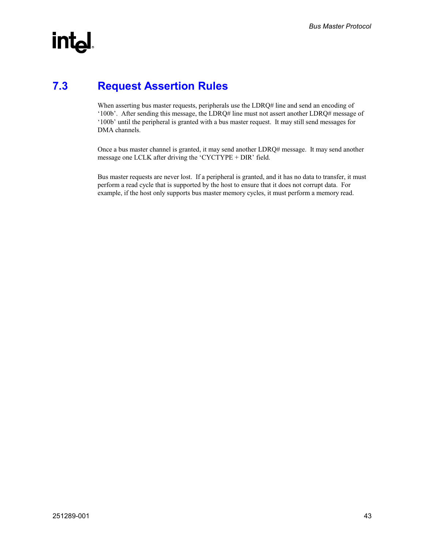# **int**

## **7.3 Request Assertion Rules**

When asserting bus master requests, peripherals use the LDRQ# line and send an encoding of '100b'. After sending this message, the LDRQ# line must not assert another LDRQ# message of '100b' until the peripheral is granted with a bus master request. It may still send messages for DMA channels.

Once a bus master channel is granted, it may send another LDRQ# message. It may send another message one LCLK after driving the 'CYCTYPE + DIR' field.

Bus master requests are never lost. If a peripheral is granted, and it has no data to transfer, it must perform a read cycle that is supported by the host to ensure that it does not corrupt data. For example, if the host only supports bus master memory cycles, it must perform a memory read.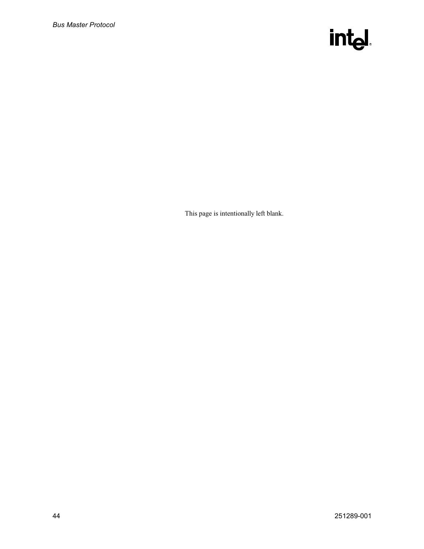## intel.

This page is intentionally left blank.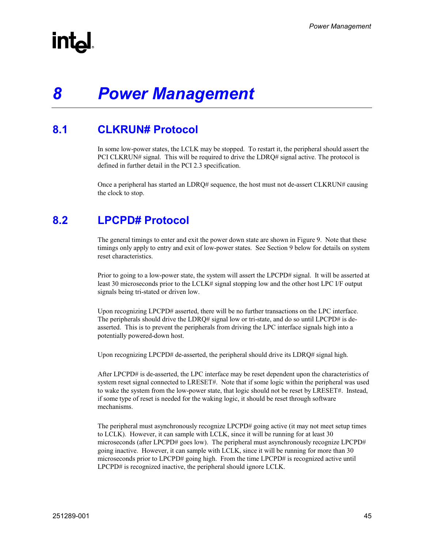## *8 Power Management*

### **8.1 CLKRUN# Protocol**

In some low-power states, the LCLK may be stopped. To restart it, the peripheral should assert the PCI CLKRUN# signal. This will be required to drive the LDRQ# signal active. The protocol is defined in further detail in the PCI 2.3 specification.

Once a peripheral has started an LDRQ# sequence, the host must not de-assert CLKRUN# causing the clock to stop.

### **8.2 LPCPD# Protocol**

The general timings to enter and exit the power down state are shown in Figure 9. Note that these timings only apply to entry and exit of low-power states. See Section 9 below for details on system reset characteristics.

Prior to going to a low-power state, the system will assert the LPCPD# signal. It will be asserted at least 30 microseconds prior to the LCLK# signal stopping low and the other host LPC I/F output signals being tri-stated or driven low.

Upon recognizing LPCPD# asserted, there will be no further transactions on the LPC interface. The peripherals should drive the LDRQ# signal low or tri-state, and do so until LPCPD# is deasserted. This is to prevent the peripherals from driving the LPC interface signals high into a potentially powered-down host.

Upon recognizing LPCPD# de-asserted, the peripheral should drive its LDRQ# signal high.

After LPCPD# is de-asserted, the LPC interface may be reset dependent upon the characteristics of system reset signal connected to LRESET#. Note that if some logic within the peripheral was used to wake the system from the low-power state, that logic should not be reset by LRESET#. Instead, if some type of reset is needed for the waking logic, it should be reset through software mechanisms.

The peripheral must asynchronously recognize LPCPD# going active (it may not meet setup times to LCLK). However, it can sample with LCLK, since it will be running for at least 30 microseconds (after LPCPD# goes low). The peripheral must asynchronously recognize LPCPD# going inactive. However, it can sample with LCLK, since it will be running for more than 30 microseconds prior to LPCPD# going high. From the time LPCPD# is recognized active until LPCPD# is recognized inactive, the peripheral should ignore LCLK.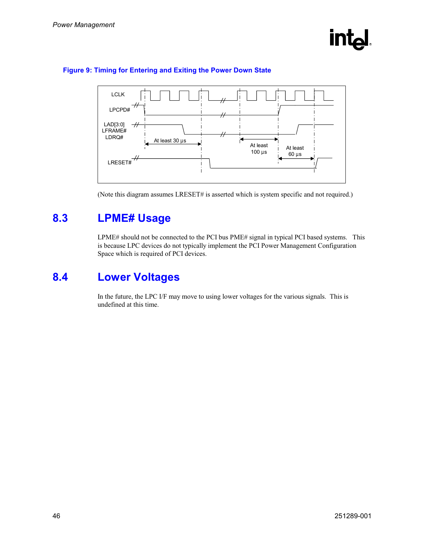



#### **Figure 9: Timing for Entering and Exiting the Power Down State**

(Note this diagram assumes LRESET# is asserted which is system specific and not required.)

### **8.3 LPME# Usage**

LPME# should not be connected to the PCI bus PME# signal in typical PCI based systems. This is because LPC devices do not typically implement the PCI Power Management Configuration Space which is required of PCI devices.

## **8.4 Lower Voltages**

In the future, the LPC I/F may move to using lower voltages for the various signals. This is undefined at this time.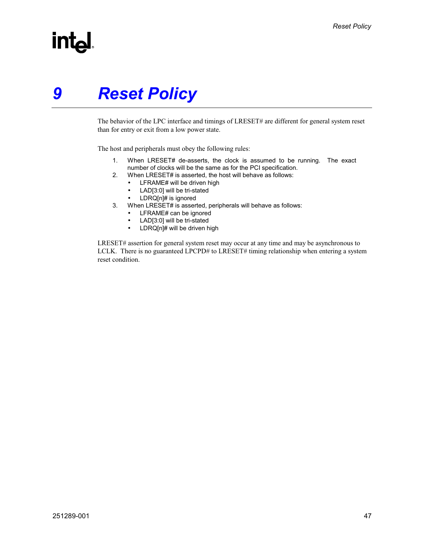# **inte**

## *9 Reset Policy*

The behavior of the LPC interface and timings of LRESET# are different for general system reset than for entry or exit from a low power state.

The host and peripherals must obey the following rules:

- 1. When LRESET# de-asserts, the clock is assumed to be running. The exact number of clocks will be the same as for the PCI specification.
- 2. When LRESET# is asserted, the host will behave as follows:
	- LFRAME# will be driven high
	- LAD[3:0] will be tri-stated
	- LDRQ[n]# is ignored
- 3.When LRESET# is asserted, peripherals will behave as follows:
	- LFRAME# can be ignored
	- LAD[3:0] will be tri-stated
	- LDRQ[n]# will be driven high

LRESET# assertion for general system reset may occur at any time and may be asynchronous to LCLK. There is no guaranteed LPCPD# to LRESET# timing relationship when entering a system reset condition.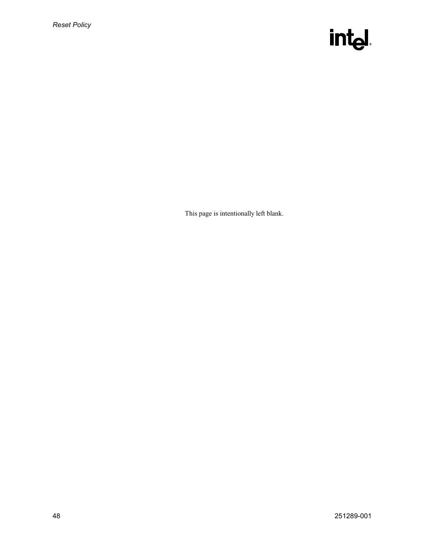## intel

This page is intentionally left blank.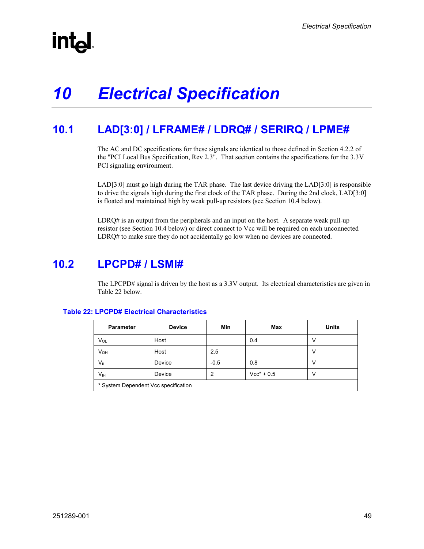# **inte**

## *10 Electrical Specification*

## **10.1 LAD[3:0] / LFRAME# / LDRQ# / SERIRQ / LPME#**

The AC and DC specifications for these signals are identical to those defined in Section 4.2.2 of the "PCI Local Bus Specification, Rev 2.3". That section contains the specifications for the 3.3V PCI signaling environment.

LAD[3:0] must go high during the TAR phase. The last device driving the LAD[3:0] is responsible to drive the signals high during the first clock of the TAR phase. During the 2nd clock, LAD[3:0] is floated and maintained high by weak pull-up resistors (see Section 10.4 below).

LDRQ# is an output from the peripherals and an input on the host. A separate weak pull-up resistor (see Section 10.4 below) or direct connect to Vcc will be required on each unconnected LDRQ# to make sure they do not accidentally go low when no devices are connected.

### **10.2 LPCPD# / LSMI#**

The LPCPD# signal is driven by the host as a 3.3V output. Its electrical characteristics are given in Table 22 below.

| <b>Parameter</b>                     | <b>Device</b> | Min<br>Max |               | <b>Units</b> |  |
|--------------------------------------|---------------|------------|---------------|--------------|--|
| VOL                                  | Host          |            | 0.4           | ν            |  |
| V <sub>OH</sub>                      | Host          | 2.5        |               | v            |  |
| $V_{IL}$                             | Device        | $-0.5$     | 0.8           | v            |  |
| V <sub>IH</sub>                      | Device        | 2          | $Vcc^* + 0.5$ | V            |  |
| * System Dependent Vcc specification |               |            |               |              |  |

#### **Table 22: LPCPD# Electrical Characteristics**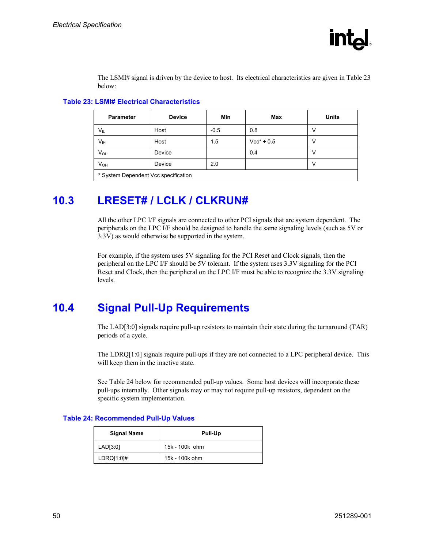

The LSMI# signal is driven by the device to host. Its electrical characteristics are given in Table 23 below:

| <b>Parameter</b>                     | <b>Device</b> | Min    | Max           | <b>Units</b> |  |
|--------------------------------------|---------------|--------|---------------|--------------|--|
| $V_{IL}$                             | Host          | $-0.5$ | 0.8           |              |  |
| $V_{IH}$                             | Host          | 1.5    | $Vcc^* + 0.5$ |              |  |
| VOL                                  | Device        |        | 0.4           |              |  |
| <b>V<sub>OH</sub></b>                | Device        | 2.0    |               | V            |  |
| * System Dependent Vcc specification |               |        |               |              |  |

#### **Table 23: LSMI# Electrical Characteristics**

**10.3 LRESET# / LCLK / CLKRUN#**

All the other LPC I/F signals are connected to other PCI signals that are system dependent. The peripherals on the LPC I/F should be designed to handle the same signaling levels (such as 5V or 3.3V) as would otherwise be supported in the system.

For example, if the system uses 5V signaling for the PCI Reset and Clock signals, then the peripheral on the LPC I/F should be 5V tolerant. If the system uses 3.3V signaling for the PCI Reset and Clock, then the peripheral on the LPC I/F must be able to recognize the 3.3V signaling levels.

### **10.4 Signal Pull-Up Requirements**

The LAD[3:0] signals require pull-up resistors to maintain their state during the turnaround (TAR) periods of a cycle.

The LDRQ[1:0] signals require pull-ups if they are not connected to a LPC peripheral device. This will keep them in the inactive state.

See Table 24 below for recommended pull-up values. Some host devices will incorporate these pull-ups internally. Other signals may or may not require pull-up resistors, dependent on the specific system implementation.

#### **Table 24: Recommended Pull-Up Values**

| <b>Signal Name</b> | Pull-Up        |  |  |
|--------------------|----------------|--|--|
| LAD[3:0]           | 15k - 100k ohm |  |  |
| $LDRQ[1:0]\#$      | 15k - 100k ohm |  |  |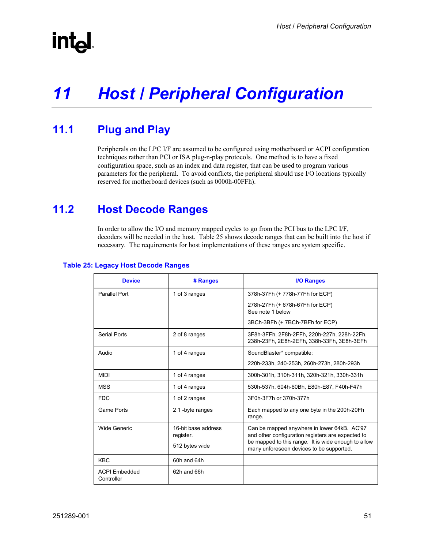# <u>intم</u>

## *11 Host / Peripheral Configuration*

## **11.1 Plug and Play**

Peripherals on the LPC I/F are assumed to be configured using motherboard or ACPI configuration techniques rather than PCI or ISA plug-n-play protocols. One method is to have a fixed configuration space, such as an index and data register, that can be used to program various parameters for the peripheral. To avoid conflicts, the peripheral should use I/O locations typically reserved for motherboard devices (such as 0000h-00FFh).

### **11.2 Host Decode Ranges**

In order to allow the I/O and memory mapped cycles to go from the PCI bus to the LPC I/F, decoders will be needed in the host. Table 25 shows decode ranges that can be built into the host if necessary. The requirements for host implementations of these ranges are system specific.

#### **Table 25: Legacy Host Decode Ranges**

| <b>Device</b>                      | # Ranges                         | <b>I/O Ranges</b>                                                                                |
|------------------------------------|----------------------------------|--------------------------------------------------------------------------------------------------|
| Parallel Port                      | 1 of 3 ranges                    | 378h-37Fh (+ 778h-77Fh for ECP)                                                                  |
|                                    |                                  | 278h-27Fh (+ 678h-67Fh for ECP)<br>See note 1 below                                              |
|                                    |                                  | 3BCh-3BFh (+ 7BCh-7BFh for ECP)                                                                  |
| Serial Ports                       | 2 of 8 ranges                    | 3F8h-3FFh, 2F8h-2FFh, 220h-227h, 228h-22Fh,<br>238h-23Fh, 2E8h-2EFh, 338h-33Fh, 3E8h-3EFh        |
| Audio                              | 1 of 4 ranges                    | SoundBlaster* compatible:                                                                        |
|                                    |                                  | 220h-233h, 240-253h, 260h-273h, 280h-293h                                                        |
| <b>MIDI</b>                        | 1 of 4 ranges                    | 300h-301h, 310h-311h, 320h-321h, 330h-331h                                                       |
| <b>MSS</b>                         | 1 of 4 ranges                    | 530h-537h, 604h-60Bh, E80h-E87, F40h-F47h                                                        |
| FDC.                               | 1 of 2 ranges                    | 3F0h-3F7h or 370h-377h                                                                           |
| <b>Game Ports</b>                  | 21-byte ranges                   | Each mapped to any one byte in the 200h-20Fh<br>range.                                           |
| Wide Generic                       | 16-bit base address<br>register. | Can be mapped anywhere in lower 64kB. AC'97<br>and other configuration registers are expected to |
|                                    | 512 bytes wide                   | be mapped to this range. It is wide enough to allow<br>many unforeseen devices to be supported.  |
| <b>KBC</b>                         | 60h and 64h                      |                                                                                                  |
| <b>ACPI Embedded</b><br>Controller | 62h and 66h                      |                                                                                                  |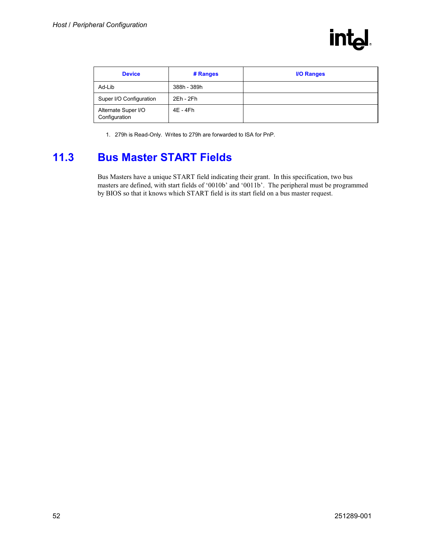

| <b>Device</b>                        | # Ranges    | <b>I/O Ranges</b> |
|--------------------------------------|-------------|-------------------|
| Ad-Lib                               | 388h - 389h |                   |
| Super I/O Configuration              | 2Eh - 2Fh   |                   |
| Alternate Super I/O<br>Configuration | 4E - 4Fh    |                   |

1.279h is Read-Only.Writes to 279h are forwarded to ISA for PnP.

## **11.3 Bus Master START Fields**

Bus Masters have a unique START field indicating their grant. In this specification, two bus masters are defined, with start fields of '0010b' and '0011b'. The peripheral must be programmed by BIOS so that it knows which START field is its start field on a bus master request.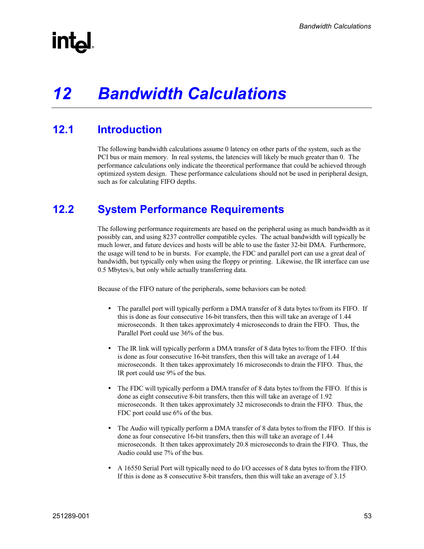## *12 Bandwidth Calculations*

## **12.1 Introduction**

The following bandwidth calculations assume 0 latency on other parts of the system, such as the PCI bus or main memory. In real systems, the latencies will likely be much greater than 0. The performance calculations only indicate the theoretical performance that could be achieved through optimized system design. These performance calculations should not be used in peripheral design, such as for calculating FIFO depths.

### **12.2 System Performance Requirements**

The following performance requirements are based on the peripheral using as much bandwidth as it possibly can, and using 8237 controller compatible cycles. The actual bandwidth will typically be much lower, and future devices and hosts will be able to use the faster 32-bit DMA. Furthermore, the usage will tend to be in bursts. For example, the FDC and parallel port can use a great deal of bandwidth, but typically only when using the floppy or printing. Likewise, the IR interface can use 0.5 Mbytes/s, but only while actually transferring data.

Because of the FIFO nature of the peripherals, some behaviors can be noted:

- The parallel port will typically perform a DMA transfer of 8 data bytes to/from its FIFO. If this is done as four consecutive 16-bit transfers, then this will take an average of 1.44 microseconds. It then takes approximately 4 microseconds to drain the FIFO. Thus, the Parallel Port could use 36% of the bus.
- The IR link will typically perform a DMA transfer of 8 data bytes to/from the FIFO. If this is done as four consecutive 16-bit transfers, then this will take an average of 1.44 microseconds. It then takes approximately 16 microseconds to drain the FIFO. Thus, the IR port could use 9% of the bus.
- The FDC will typically perform a DMA transfer of 8 data bytes to/from the FIFO. If this is done as eight consecutive 8-bit transfers, then this will take an average of 1.92 microseconds. It then takes approximately 32 microseconds to drain the FIFO. Thus, the FDC port could use 6% of the bus.
- The Audio will typically perform a DMA transfer of 8 data bytes to/from the FIFO. If this is done as four consecutive 16-bit transfers, then this will take an average of 1.44 microseconds. It then takes approximately 20.8 microseconds to drain the FIFO. Thus, the Audio could use 7% of the bus.
- A 16550 Serial Port will typically need to do I/O accesses of 8 data bytes to/from the FIFO. If this is done as 8 consecutive 8-bit transfers, then this will take an average of 3.15